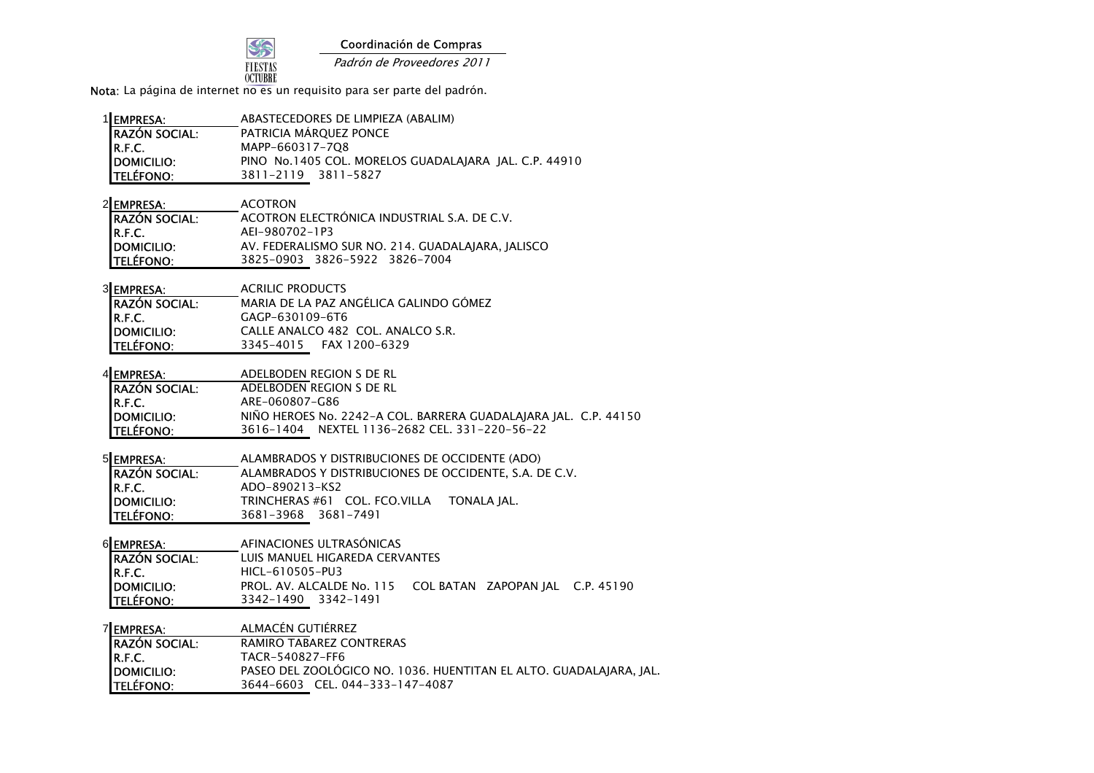

Coordinación de Compras

Padrón de Proveedores 2011

Nota: La página de internet no es un requisito para ser parte del padrón.

| 1EMPRESA:            | ABASTECEDORES DE LIMPIEZA (ABALIM)                    |
|----------------------|-------------------------------------------------------|
| <b>RAZÓN SOCIAL:</b> | PATRICIA MÁRQUEZ PONCE                                |
|                      | MAPP-660317-708                                       |
| R.F.C.<br>DOMICILIO: | PINO No.1405 COL, MORELOS GUADALAIARA IAL, C.P. 44910 |
| <b>TELÉFONO:</b>     | 3811-2119 3811-5827                                   |

| 2EMPRESA:            | <b>ACOTRON</b>                                    |
|----------------------|---------------------------------------------------|
| <b>RAZÓN SOCIAL:</b> | ACOTRON ELECTRÓNICA INDUSTRIAL S.A. DE C.V.       |
| R.F.C.               | AEI-980702-1P3                                    |
| DOMICILIO:           | AV. FEDERALISMO SUR NO. 214. GUADALAJARA, JALISCO |
| <b>TELÉFONO:</b>     | 3825-0903 3826-5922 3826-7004                     |

| 3 EMPRESA:           | <b>ACRILIC PRODUCTS</b>                |
|----------------------|----------------------------------------|
| <b>RAZÓN SOCIAL:</b> | MARIA DE LA PAZ ANGÉLICA GALINDO GÓMEZ |
| IR.F.C.              | GAGP-630109-6T6                        |
| DOMICILIO:           | CALLE ANALCO 482 COL. ANALCO S.R.      |
| <b>TELÉFONO:</b>     | 3345-4015 FAX 1200-6329                |

| 4 EMPRESA: |  |  | ADELBODEN REGION S DE RL |  |  |
|------------|--|--|--------------------------|--|--|
|            |  |  |                          |  |  |

| <b>IRAZÓN SOCIAL:</b> | ADELBODEN REGION S DE RL                                        |
|-----------------------|-----------------------------------------------------------------|
| IR.F.C.               | ARE-060807-G86                                                  |
| <b>IDOMICILIO:</b>    | NIÑO HEROES No. 2242-A COL. BARRERA GUADALAJARA JAL. C.P. 44150 |
| <b>ITELÉFONO:</b>     | 3616-1404 NEXTEL 1136-2682 CEL. 331-220-56-22                   |

| 5 EMPRESA: | ALAMBRADOS Y DISTRIBUCIONES DE OCCIDENTE (ADO) |  |  |  |  |  |
|------------|------------------------------------------------|--|--|--|--|--|
|            |                                                |  |  |  |  |  |

| <b>RAZÓN SOCIAL:</b>              | ALAMBRADOS Y DISTRIBUCIONES DE OCCIDENTE. S.A. DE C.V. |
|-----------------------------------|--------------------------------------------------------|
|                                   | ADO-890213-KS2                                         |
| R.F.C.<br>DOMICILIO:<br>TELÉFONO: | TRINCHERAS #61 COL. FCO.VILLA TONALA IAL.              |
|                                   | 3681-3968 3681-7491                                    |

6 EMPRESA: AFINACIONES ULTRASÓNICAS RAZÓN SOCIAL: LUIS MANUEL HIGAREDA CERVANTESR.F.C.**R.F.C.** HICL-610505-PU3<br>DOMICILIO: PROL. AV. ALCALDI DOMICILIO: PROL. AV. ALCALDE No. 115 COL BATAN ZAPOPAN JAL C.P. 45190TELÉFONO: 3342-1490 3342-1491

| 7 EMPRESA:           | ALMACÉN GUTIÉRREZ                                                  |
|----------------------|--------------------------------------------------------------------|
| <b>RAZÓN SOCIAL:</b> | RAMIRO TABAREZ CONTRERAS                                           |
| R.F.C.               | TACR-540827-FF6                                                    |
| <b>IDOMICILIO:</b>   | PASEO DEL ZOOLÓGICO NO. 1036. HUENTITAN EL ALTO. GUADALAJARA, JAL. |
| <b>TELÉFONO:</b>     | 3644-6603 CEL. 044-333-147-4087                                    |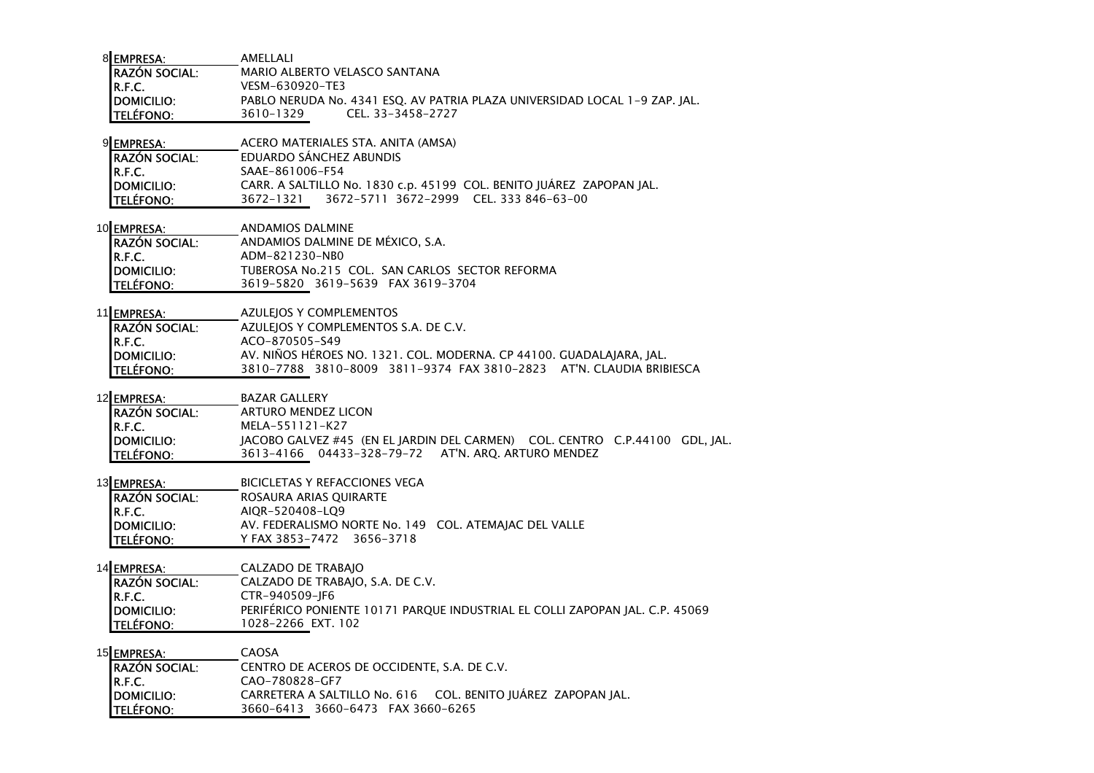| <b>RAZÓN SOCIAL:</b><br>MARIO ALBERTO VELASCO SANTANA                                            |  |
|--------------------------------------------------------------------------------------------------|--|
| IR.F.C.<br>VESM-630920-TE3                                                                       |  |
| PABLO NERUDA No. 4341 ESQ. AV PATRIA PLAZA UNIVERSIDAD LOCAL 1-9 ZAP. JAL.<br><b>IDOMICILIO:</b> |  |
| <b>ITELÉFONO:</b><br>CEL. 33-3458-2727<br>3610-1329                                              |  |

#### 9 EMPRESA: ACERO MATERIALES STA. ANITA (AMSA)

| <b>IRAZÓN SOCIAL:</b> | EDUARDO SANCHEZ ABUNDIS                                              |  |
|-----------------------|----------------------------------------------------------------------|--|
| IR.F.C.               | SAAE-861006-F54                                                      |  |
| <b>IDOMICILIO:</b>    | CARR. A SALTILLO No. 1830 c.p. 45199 COL. BENITO JUÁREZ ZAPOPAN JAL. |  |
| <b>ITELÉFONO:</b>     | 3672-5711 3672-2999 CEL.333 846-63-00<br>3672-1321                   |  |

## 10 EMPRESA: ANDAMIOS DALMINE RAZÓN SOCIAL: ANDAMIOS DALMINE DE MÉXICO, S.A. R.F.C.**R.F.C.**<br>DOMICILIO: TUBEROSA No.215 DOMICILIO: TUBEROSA No.215 COL. SAN CARLOS SECTOR REFORMATELÉFONO: 3619-5820 3619-5639 FAX 3619-3704

| 11 <b>EMPRESA:</b>   | AZULEIOS Y COMPLEMENTOS                                              |
|----------------------|----------------------------------------------------------------------|
| <b>RAZÓN SOCIAL:</b> | AZULEIOS Y COMPLEMENTOS S.A. DE C.V.                                 |
| IR.F.C.              | ACO-870505-S49                                                       |
| <b>IDOMICILIO:</b>   | AV. NIÑOS HÉROES NO. 1321. COL. MODERNA. CP 44100. GUADALAJARA, JAL. |
| <b>ITELÉFONO:</b>    | 3810-7788 3810-8009 3811-9374 FAX 3810-2823 AT'N. CLAUDIA BRIBIESCA  |

### 12 EMPRESA: **BAZAR GALLERY**

| <b>IRAZÓN SOCIAL:</b> | ARTURO MENDEZ LICON                                                         |
|-----------------------|-----------------------------------------------------------------------------|
| IR.F.C.               | MELA-551121-K27                                                             |
| <b>IDOMICILIO:</b>    | IACOBO GALVEZ #45 (EN EL IARDIN DEL CARMEN) COL. CENTRO C.P.44100 GDL. IAL. |
| <b>TELÉFONO:</b>      | 3613-4166  04433-328-79-72  AT'N, ARO, ARTURO MENDEZ                        |

### 13 EMPRESA: BICICLETAS Y REFACCIONES VEGA

| <b>RAZÓN SOCIAL:</b> | ROSAURA ARIAS OUIRARTE                                |  |
|----------------------|-------------------------------------------------------|--|
| IR.F.C.              | AIOR-520408-LO9                                       |  |
| <b>IDOMICILIO:</b>   | AV. FEDERALISMO NORTE No. 149 COL. ATEMAIAC DEL VALLE |  |
| <b>TELÉFONO:</b>     | Y FAX 3853-7472 3656-3718                             |  |

## 14 EMPRESA: CALZADO DE TRABAJO

 CALZADO DE TRABAJO, S.A. DE C.V. RAZÓN SOCIAL:R.F.C. CTR-940509-JF6 DOMICILIO: PERIFÉRICO PONIENTE 10171 PARQUE INDUSTRIAL EL COLLI ZAPOPAN JAL. C.P. 45069TELÉFONO: 1028-2266 EXT. 102

# 15 <u>EMPRESA: </u>CAOSA CENTRO DE ACEROS DE OCCIDENTE, S.A. DE C.V. RAZÓN SOCIAL:R.F.C.**R.F.C.**<br>**DOMICILIO:** CARRETERA A SALT DOMICILIO: CARRETERA A SALTILLO No. 616 COL. BENITO JUÁREZ ZAPOPAN JAL.TELÉFONO: 3660-6413 3660-6473 FAX 3660-6265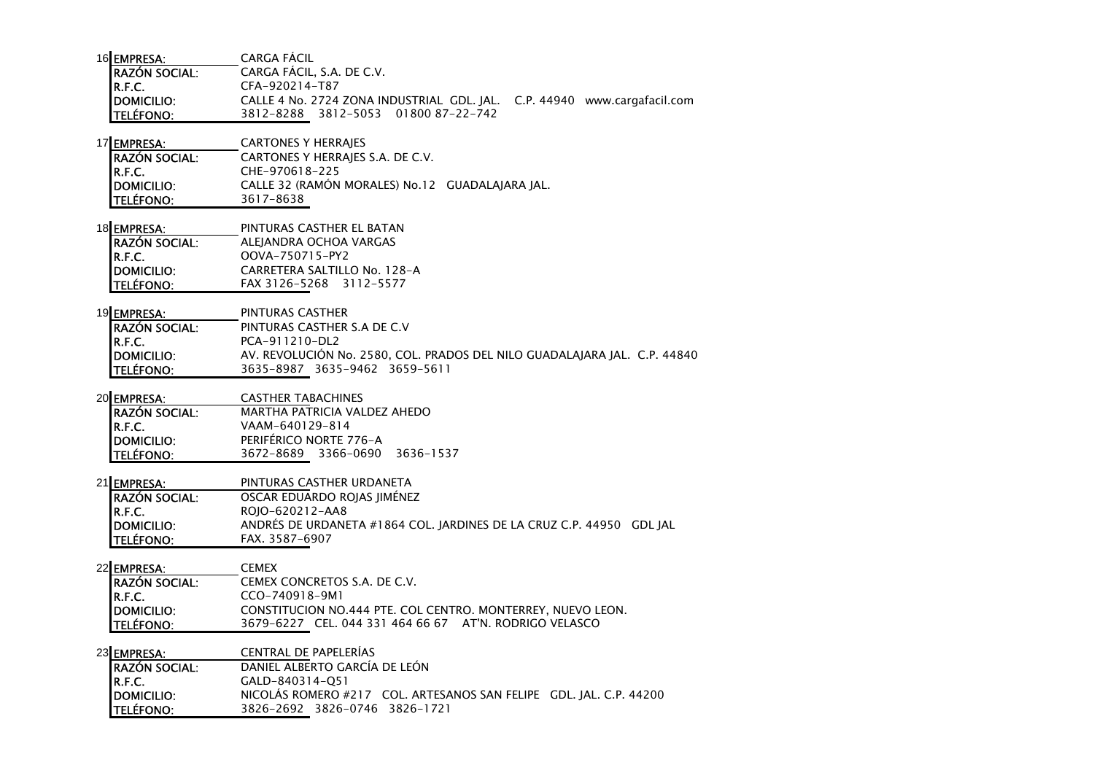| 16 EMPRESA:        | CARGA FACIL                                                              |
|--------------------|--------------------------------------------------------------------------|
| RAZÓN SOCIAL:      | CARGA FÁCIL, S.A. DE C.V.                                                |
| IR.F.C.            | CFA-920214-T87                                                           |
| <b>IDOMICILIO:</b> | CALLE 4 No. 2724 ZONA INDUSTRIAL GDL. JAL. C.P. 44940 www.cargafacil.com |
| <b>ITELÉFONO:</b>  | 3812-8288 3812-5053 01800 87-22-742                                      |

17 EMPRESA: CARTONES Y HERRAJES

RAZÓN SOCIAL: CARTONES Y HERRAJES S.A. DE C.V. R.F.C. CHE-970618-225 DOMICILIO: CALLE 32 (RAMÓN MORALES) No.12 GUADALAJARA JAL.TELÉFONO: 3617-8638

18 EMPRESA: PINTURAS CASTHER EL BATAN ALEJANDRA OCHOA VARGASRAZÓN SOCIAL:R.F.C. OOVA-750715-PY2 DOMICILIO: CARRETERA SALTILLO No. 128-ATELÉFONO: FAX 3126-5268 3112-5577

19 EMPRESA: PINTURAS CASTHER PINTURAS CASTHER S.A DE C.VRAZÓN SOCIAL:R.F.C. PCA-911210-DL2 DOMICILIO: AV. REVOLUCIÓN No. 2580, COL. PRADOS DEL NILO GUADALAJARA JAL. C.P. 44840TELÉFONO: 3635-8987 3635-9462 3659-5611

20 EMPRESA: CASTHER TABACHINES RAZÓN SOCIAL:MARTHA PATRICIA VALDEZ AHEDO

| $\mathbf{r}$     |                        |                               |  |
|------------------|------------------------|-------------------------------|--|
| R.F.C.           | VAAM-640129-814        |                               |  |
| DOMICILIO:       | PERIFÉRICO NORTE 776-A |                               |  |
| <b>TELÉFONO:</b> |                        | 3672-8689 3366-0690 3636-1537 |  |
|                  |                        |                               |  |

21 EMPRESA: PINTURAS CASTHER URDANETA OSCAR EDUARDO ROJAS JIMÉNEZRAZÓN SOCIAL:R.F.C. ROJO-620212-AA8 DOMICILIO: ANDRÉS DE URDANETA #1864 COL. JARDINES DE LA CRUZ C.P. 44950 GDL JALTELÉFONO: FAX. 3587-6907

22 **EMPRESA:** CEMEX RAZÓN SOCIAL: CEMEX CONCRETOS S.A. DE C.V. R.F.C. CCO-740918-9M1 DOMICILIO: CONSTITUCION NO.444 PTE. COL CENTRO. MONTERREY, NUEVO LEON.TELÉFONO: 3679-6227 CEL. 044 331 464 66 67 AT'N. RODRIGO VELASCO

23 EMPRESA: CENTRAL DE PAPELERÍAS RAZÓN SOCIAL: DANIEL ALBERTO GARCÍA DE LEÓNR.F.C. GALD-840314-Q51 DOMICILIO: NICOLÁS ROMERO #217 COL. ARTESANOS SAN FELIPE GDL. JAL. C.P. 44200TELÉFONO: 3826-2692 3826-0746 3826-1721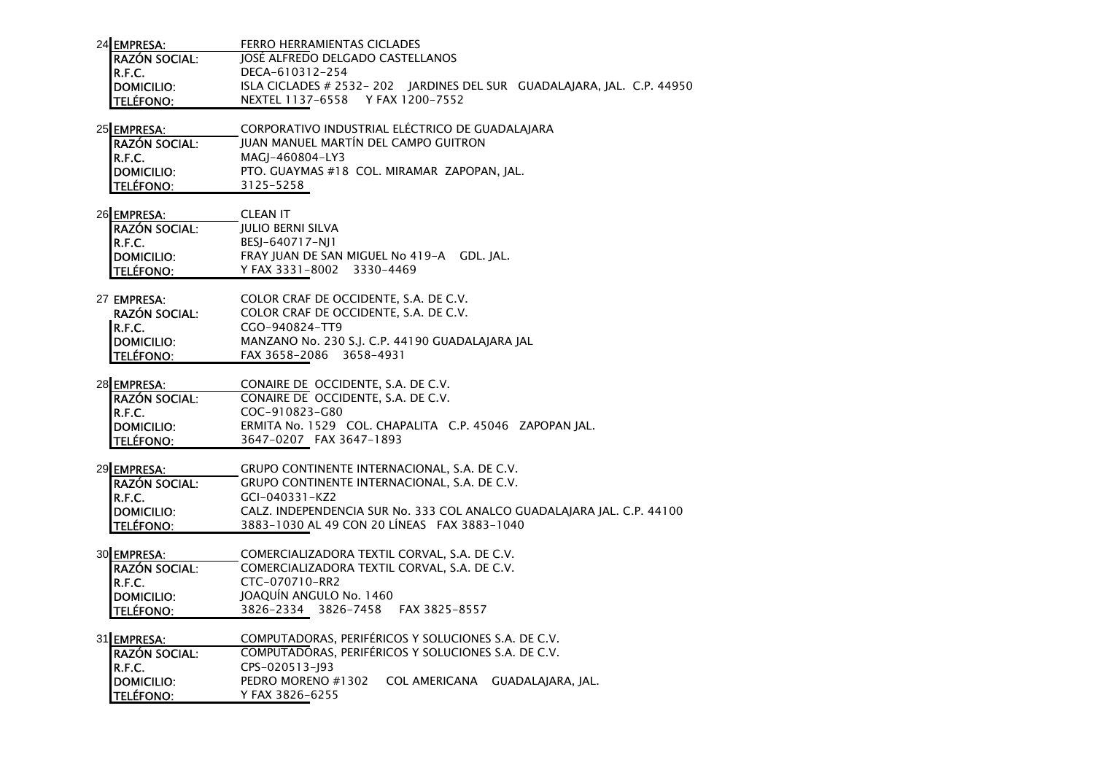| 24 EMPRESA:                    | FERRO HERRAMIENTAS CICLADES                                                                                           |
|--------------------------------|-----------------------------------------------------------------------------------------------------------------------|
| <b>RAZÓN SOCIAL:</b>           | JOSÉ ALFREDO DELGADO CASTELLANOS                                                                                      |
| R.F.C.                         | DECA-610312-254                                                                                                       |
| <b>DOMICILIO:</b>              | ISLA CICLADES # 2532-202 JARDINES DEL SUR GUADALAJARA, JAL. C.P. 44950                                                |
| <b>TELÉFONO:</b>               | NEXTEL 1137-6558 Y FAX 1200-7552                                                                                      |
|                                |                                                                                                                       |
| 25 EMPRESA:                    | CORPORATIVO INDUSTRIAL ELÉCTRICO DE GUADALAJARA                                                                       |
| <b>RAZÓN SOCIAL:</b>           | JUAN MANUEL MARTÍN DEL CAMPO GUITRON                                                                                  |
| R.F.C.                         | MAGJ-460804-LY3                                                                                                       |
| <b>DOMICILIO:</b>              | PTO. GUAYMAS #18 COL. MIRAMAR ZAPOPAN, JAL.                                                                           |
| <b>TELÉFONO:</b>               | 3125-5258                                                                                                             |
|                                |                                                                                                                       |
| 26 EMPRESA:                    | <b>CLEAN IT</b>                                                                                                       |
| <b>RAZÓN SOCIAL:</b>           | <b>JULIO BERNI SILVA</b>                                                                                              |
| R.F.C.                         | BESJ-640717-NJ1                                                                                                       |
| <b>DOMICILIO:</b>              | FRAY JUAN DE SAN MIGUEL No 419-A GDL. JAL.                                                                            |
| <b>TELÉFONO:</b>               | Y FAX 3331-8002 3330-4469                                                                                             |
|                                |                                                                                                                       |
| 27 EMPRESA:                    | COLOR CRAF DE OCCIDENTE, S.A. DE C.V.                                                                                 |
| RAZÓN SOCIAL:                  | COLOR CRAF DE OCCIDENTE, S.A. DE C.V.                                                                                 |
| R.F.C.                         | CGO-940824-TT9                                                                                                        |
| <b>DOMICILIO:</b>              | MANZANO No. 230 S.J. C.P. 44190 GUADALAJARA JAL                                                                       |
| <b>TELÉFONO:</b>               | FAX 3658-2086 3658-4931                                                                                               |
|                                |                                                                                                                       |
|                                |                                                                                                                       |
|                                |                                                                                                                       |
| 28 EMPRESA:                    | CONAIRE DE OCCIDENTE, S.A. DE C.V.                                                                                    |
| <b>RAZÓN SOCIAL:</b>           | CONAIRE DE OCCIDENTE, S.A. DE C.V.                                                                                    |
| R.F.C.                         | COC-910823-G80                                                                                                        |
| <b>DOMICILIO:</b>              | ERMITA No. 1529 COL. CHAPALITA C.P. 45046 ZAPOPAN JAL.                                                                |
| <b>TELÉFONO:</b>               | 3647-0207 FAX 3647-1893                                                                                               |
|                                | GRUPO CONTINENTE INTERNACIONAL, S.A. DE C.V.                                                                          |
| 29 EMPRESA:                    |                                                                                                                       |
| <b>RAZÓN SOCIAL:</b><br>R.F.C. | GRUPO CONTINENTE INTERNACIONAL, S.A. DE C.V.<br>GCI-040331-KZ2                                                        |
|                                |                                                                                                                       |
| <b>DOMICILIO:</b>              | CALZ. INDEPENDENCIA SUR No. 333 COL ANALCO GUADALAJARA JAL. C.P. 44100<br>3883-1030 AL 49 CON 20 LÍNEAS FAX 3883-1040 |
| <b>TELÉFONO:</b>               |                                                                                                                       |
| 30 EMPRESA:                    | COMERCIALIZADORA TEXTIL CORVAL, S.A. DE C.V.                                                                          |
| <b>RAZÓN SOCIAL:</b>           | COMERCIALIZADORA TEXTIL CORVAL, S.A. DE C.V.                                                                          |
| R.F.C.                         | CTC-070710-RR2                                                                                                        |
| <b>DOMICILIO:</b>              | JOAQUÍN ANGULO No. 1460                                                                                               |
| <b>TELÉFONO:</b>               | 3826-2334 3826-7458 FAX 3825-8557                                                                                     |
|                                |                                                                                                                       |
| 31 EMPRESA:                    | COMPUTADORAS, PERIFÉRICOS Y SOLUCIONES S.A. DE C.V.                                                                   |
| <b>RAZÓN SOCIAL:</b>           | COMPUTADORAS, PERIFÉRICOS Y SOLUCIONES S.A. DE C.V.                                                                   |
| R.F.C.                         | CPS-020513-J93                                                                                                        |
| <b>DOMICILIO:</b>              | PEDRO MORENO #1302<br>COL AMERICANA GUADALAJARA, JAL.                                                                 |
| <b>TELÉFONO:</b>               | Y FAX 3826-6255                                                                                                       |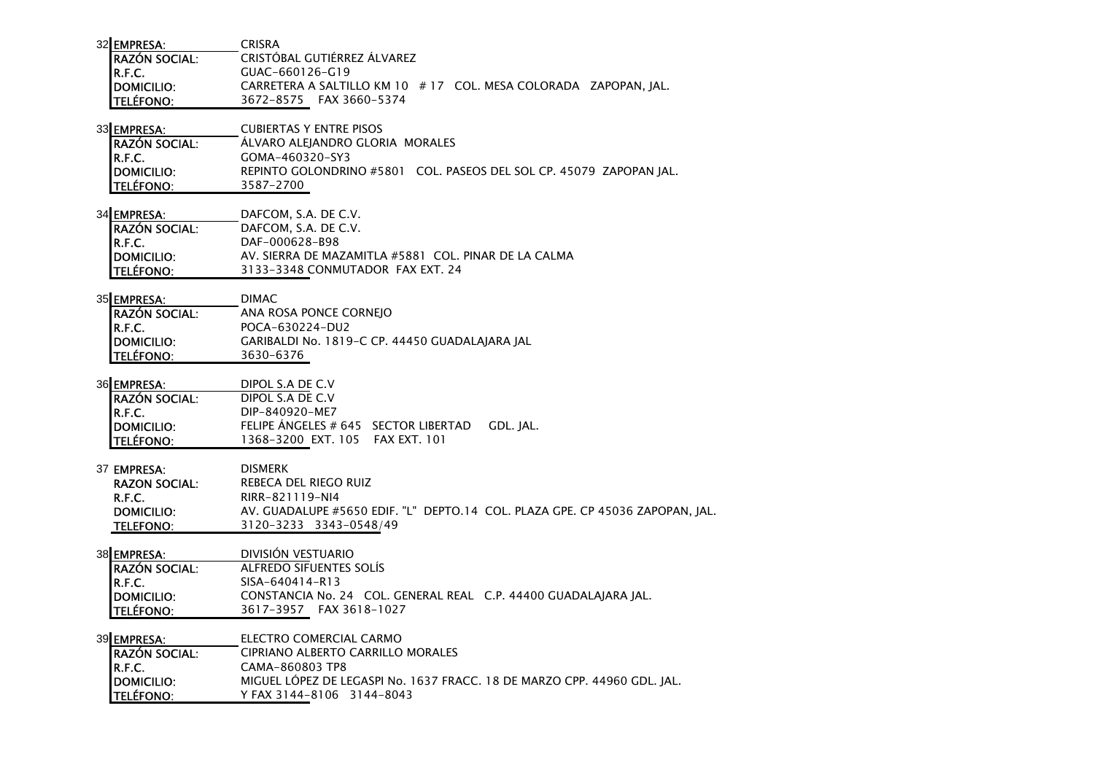| 32 EMPRESA:          | <b>CRISRA</b>                                                                 |
|----------------------|-------------------------------------------------------------------------------|
| <b>RAZÓN SOCIAL:</b> | CRISTÓBAL GUTIÉRREZ ÁLVAREZ                                                   |
| R.F.C.               | GUAC-660126-G19                                                               |
| <b>DOMICILIO:</b>    | CARRETERA A SALTILLO KM 10 # 17 COL. MESA COLORADA ZAPOPAN, JAL.              |
| <b>TELÉFONO:</b>     | 3672-8575 FAX 3660-5374                                                       |
|                      |                                                                               |
| 33 EMPRESA:          | <b>CUBIERTAS Y ENTRE PISOS</b>                                                |
| <b>RAZÓN SOCIAL:</b> | ALVARO ALEJANDRO GLORIA MORALES                                               |
| R.F.C.               | GOMA-460320-SY3                                                               |
| <b>DOMICILIO:</b>    | REPINTO GOLONDRINO #5801 COL. PASEOS DEL SOL CP. 45079 ZAPOPAN JAL.           |
| <b>TELÉFONO:</b>     | 3587-2700                                                                     |
| 34 EMPRESA:          | DAFCOM, S.A. DE C.V.                                                          |
| <b>RAZÓN SOCIAL:</b> | DAFCOM, S.A. DE C.V.                                                          |
| R.F.C.               | DAF-000628-B98                                                                |
| <b>DOMICILIO:</b>    | AV. SIERRA DE MAZAMITLA #5881 COL. PINAR DE LA CALMA                          |
| <b>TELÉFONO:</b>     | 3133-3348 CONMUTADOR FAX EXT. 24                                              |
|                      |                                                                               |
| 35 EMPRESA:          | <b>DIMAC</b>                                                                  |
| <b>RAZÓN SOCIAL:</b> | ANA ROSA PONCE CORNEJO                                                        |
| R.F.C.               | POCA-630224-DU2                                                               |
| <b>DOMICILIO:</b>    | GARIBALDI No. 1819-C CP. 44450 GUADALAJARA JAL                                |
| <b>TELÉFONO:</b>     | 3630-6376                                                                     |
| 36 EMPRESA:          | DIPOL S.A DE C.V                                                              |
| IRAZÓN SOCIAL:       | DIPOL S.A DE C.V                                                              |
| R.F.C.               | DIP-840920-ME7                                                                |
| <b>DOMICILIO:</b>    | FELIPE ÁNGELES # 645 SECTOR LIBERTAD<br>GDL. JAL.                             |
| <b>TELÉFONO:</b>     | 1368-3200 EXT. 105 FAX EXT. 101                                               |
|                      |                                                                               |
| 37 EMPRESA:          | <b>DISMERK</b>                                                                |
| <b>RAZON SOCIAL:</b> | REBECA DEL RIEGO RUIZ                                                         |
| R.F.C.               | RIRR-821119-NI4                                                               |
| DOMICILIO:           | AV. GUADALUPE #5650 EDIF. "L" DEPTO.14 COL. PLAZA GPE. CP 45036 ZAPOPAN, JAL. |
| <b>TELEFONO:</b>     | 3120-3233 3343-0548/49                                                        |
| 38 EMPRESA:          | DIVISIÓN VESTUARIO                                                            |
| IRAZÓN SOCIAL:       | <b>ALFREDO SIFUENTES SOLÍS</b>                                                |
| R.F.C.               | SISA-640414-R13                                                               |
| <b>DOMICILIO:</b>    | CONSTANCIA No. 24 COL. GENERAL REAL C.P. 44400 GUADALAJARA JAL.               |
| <b>TELÉFONO:</b>     | 3617-3957 FAX 3618-1027                                                       |
|                      |                                                                               |
| 39 EMPRESA:          | ELECTRO COMERCIAL CARMO                                                       |
| <b>RAZÓN SOCIAL:</b> | <b>CIPRIANO ALBERTO CARRILLO MORALES</b>                                      |
| R.F.C.               | CAMA-860803 TP8                                                               |
| <b>DOMICILIO:</b>    | MIGUEL LOPEZ DE LEGASPI No. 1637 FRACC. 18 DE MARZO CPP. 44960 GDL. JAL.      |
| <b>TELÉFONO:</b>     | Y FAX 3144-8106 3144-8043                                                     |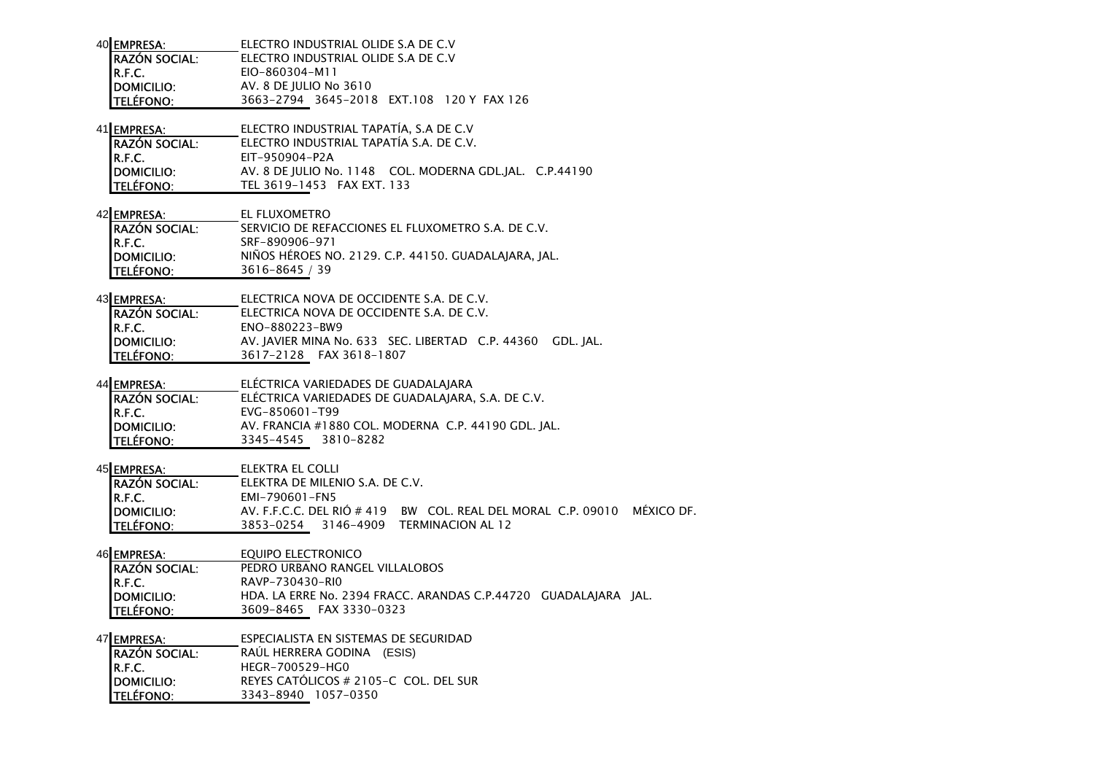| 40 EMPRESA:                                                                            | ELECTRO INDUSTRIAL OLIDE S.A DE C.V                                                                                                                                                          |
|----------------------------------------------------------------------------------------|----------------------------------------------------------------------------------------------------------------------------------------------------------------------------------------------|
| <b>RAZÓN SOCIAL:</b>                                                                   | ELECTRO INDUSTRIAL OLIDE S.A DE C.V                                                                                                                                                          |
| R.F.C.                                                                                 | EIO-860304-M11                                                                                                                                                                               |
| <b>DOMICILIO:</b>                                                                      | AV. 8 DE JULIO No 3610                                                                                                                                                                       |
| <b>TELÉFONO:</b>                                                                       | 3663-2794 3645-2018 EXT.108 120 Y FAX 126                                                                                                                                                    |
| 41 EMPRESA:                                                                            | ELECTRO INDUSTRIAL TAPATÍA, S.A DE C.V                                                                                                                                                       |
| <b>RAZÓN SOCIAL:</b>                                                                   | ELECTRO INDUSTRIAL TAPATÍA S.A. DE C.V.                                                                                                                                                      |
| R.F.C.                                                                                 | EIT-950904-P2A                                                                                                                                                                               |
| <b>DOMICILIO:</b>                                                                      | AV. 8 DE JULIO No. 1148 COL. MODERNA GDL.JAL. C.P.44190                                                                                                                                      |
| <b>TELÉFONO:</b>                                                                       | TEL 3619-1453 FAX EXT. 133                                                                                                                                                                   |
| 42 EMPRESA:                                                                            | EL FLUXOMETRO                                                                                                                                                                                |
| <b>RAZÓN SOCIAL:</b>                                                                   | SERVICIO DE REFACCIONES EL FLUXOMETRO S.A. DE C.V.                                                                                                                                           |
| R.F.C.                                                                                 | SRF-890906-971                                                                                                                                                                               |
| <b>DOMICILIO:</b>                                                                      | NIÑOS HÉROES NO. 2129. C.P. 44150. GUADALAJARA, JAL.                                                                                                                                         |
| <b>TELÉFONO:</b>                                                                       | 3616-8645 / 39                                                                                                                                                                               |
| 43 EMPRESA:                                                                            | ELECTRICA NOVA DE OCCIDENTE S.A. DE C.V.                                                                                                                                                     |
| <b>RAZÓN SOCIAL:</b>                                                                   | ELECTRICA NOVA DE OCCIDENTE S.A. DE C.V.                                                                                                                                                     |
| R.F.C.                                                                                 | ENO-880223-BW9                                                                                                                                                                               |
| <b>DOMICILIO:</b>                                                                      | AV. JAVIER MINA No. 633 SEC. LIBERTAD C.P. 44360 GDL. JAL.                                                                                                                                   |
| <b>TELÉFONO:</b>                                                                       | 3617-2128 FAX 3618-1807                                                                                                                                                                      |
| 44 EMPRESA:<br><b>RAZÓN SOCIAL:</b><br>R.F.C.<br><b>DOMICILIO:</b><br><b>TELÉFONO:</b> | ELÉCTRICA VARIEDADES DE GUADALAJARA<br>ELÉCTRICA VARIEDADES DE GUADALAJARA, S.A. DE C.V.<br>EVG-850601-T99<br>AV. FRANCIA #1880 COL. MODERNA C.P. 44190 GDL. JAL.<br>3345-4545<br>3810-8282  |
| 45 EMPRESA:<br><b>RAZÓN SOCIAL:</b><br>R.F.C.<br><b>DOMICILIO:</b><br><b>TELÉFONO:</b> | ELEKTRA EL COLLI<br>ELEKTRA DE MILENIO S.A. DE C.V.<br>EMI-790601-FN5<br>AV. F.F.C.C. DEL RIÓ # 419 BW COL. REAL DEL MORAL C.P. 09010 MÉXICO DF.<br>3853-0254<br>3146-4909 TERMINACION AL 12 |
| 46 EMPRESA:                                                                            | <b>EQUIPO ELECTRONICO</b>                                                                                                                                                                    |
| <b>RAZÓN SOCIAL:</b>                                                                   | PEDRO URBANO RANGEL VILLALOBOS                                                                                                                                                               |
| R.F.C.                                                                                 | RAVP-730430-RIO                                                                                                                                                                              |
| <b>DOMICILIO:</b>                                                                      | HDA. LA ERRE No. 2394 FRACC. ARANDAS C.P.44720 GUADALAJARA JAL.                                                                                                                              |
| <b>TELÉFONO:</b>                                                                       | 3609-8465 FAX 3330-0323                                                                                                                                                                      |
| 47 EMPRESA:                                                                            | ESPECIALISTA EN SISTEMAS DE SEGURIDAD                                                                                                                                                        |
| <b>RAZÓN SOCIAL:</b>                                                                   | RAÚL HERRERA GODINA (ESIS)                                                                                                                                                                   |
| R.F.C.                                                                                 | HEGR-700529-HG0                                                                                                                                                                              |
| <b>DOMICILIO:</b>                                                                      | REYES CATOLICOS # 2105-C COL. DEL SUR                                                                                                                                                        |
| <b>TELÉFONO:</b>                                                                       | 3343-8940 1057-0350                                                                                                                                                                          |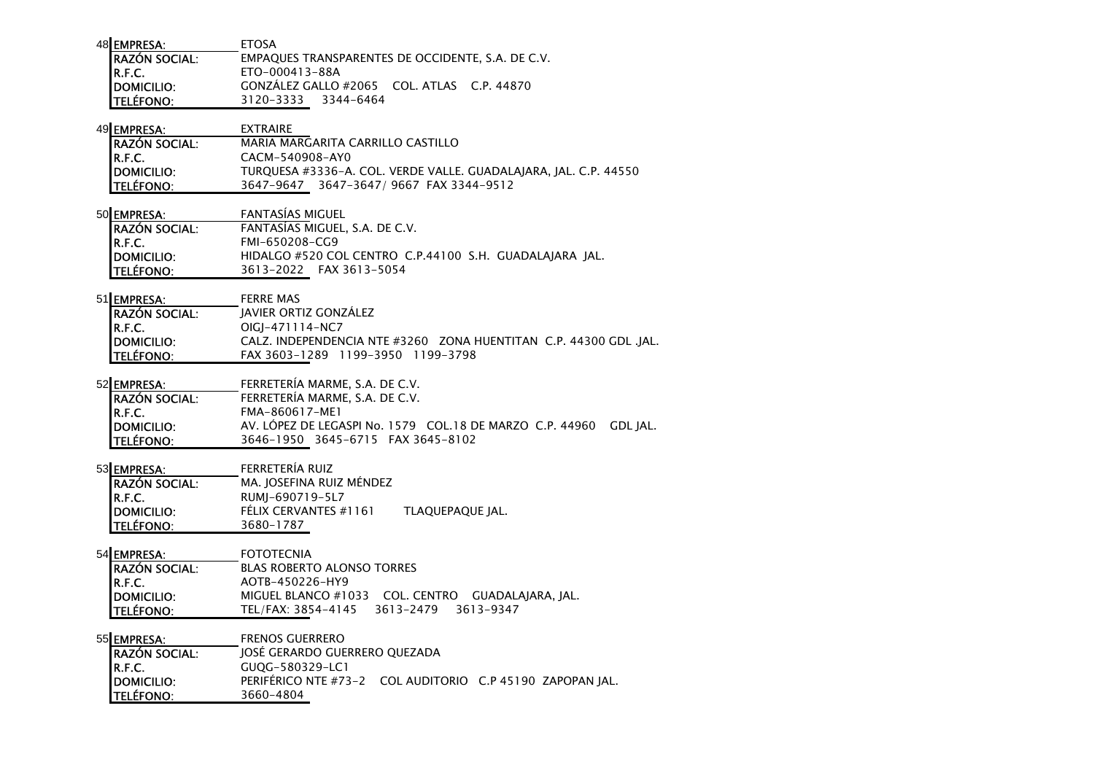| 48 EMPRESA:<br><b>FTOSA</b>                                               |  |
|---------------------------------------------------------------------------|--|
| <b>RAZÓN SOCIAL:</b><br>EMPAQUES TRANSPARENTES DE OCCIDENTE, S.A. DE C.V. |  |
| IR.F.C.<br>ETO-000413-88A                                                 |  |
| GONZÁLEZ GALLO #2065 COL. ATLAS C.P. 44870<br>DOMICILIO:                  |  |
| <b>TELÉFONO:</b><br>3120-3333 3344-6464                                   |  |

| 49 EMPRESA:           | <b>FXTRAIRF</b>                                                  |
|-----------------------|------------------------------------------------------------------|
| <b>IRAZÓN SOCIAL:</b> | MARIA MARGARITA CARRILLO CASTILLO                                |
| IR.F.C.               | CACM-540908-AY0                                                  |
| <b>IDOMICILIO:</b>    | TUROUESA #3336-A. COL. VERDE VALLE. GUADALAIARA. IAL. C.P. 44550 |
| <b>TELÉFONO:</b>      | 3647-9647 3647-3647/9667 FAX 3344-9512                           |

| 50 EMPRESA:          | <b>FANTASIAS MIGUEL</b>                                 |  |  |
|----------------------|---------------------------------------------------------|--|--|
| <b>RAZÓN SOCIAL:</b> | FANTASÍAS MIGUEL, S.A. DE C.V.                          |  |  |
| IR.F.C.              | FMI-650208-CG9                                          |  |  |
| <b>IDOMICILIO:</b>   | HIDALGO #520 COL CENTRO C.P.44100 S.H. GUADALAIARA IAL. |  |  |
| <b>TELÉFONO:</b>     | 3613-2022 FAX 3613-5054                                 |  |  |

| 51 EMPRESA:           | <b>FERRE MAS</b>                                                  |
|-----------------------|-------------------------------------------------------------------|
| <b>IRAZÓN SOCIAL:</b> | JAVIER ORTIZ GONZÁLEZ                                             |
| IR.F.C.               | OIGI-471114-NC7                                                   |
| <b>IDOMICILIO:</b>    | CALZ, INDEPENDENCIA NTE #3260 ZONA HUENTITAN C.P. 44300 GDL .IAL. |
| <b>TELÉFONO:</b>      | FAX 3603-1289 1199-3950 1199-3798                                 |

### 52 EMPRESA: FERRETERÍA MARME, S.A. DE C.V.

| <b>IRAZÓN SOCIAL:</b> | FERRETERIA MARME, S.A. DE C.V.                                    |
|-----------------------|-------------------------------------------------------------------|
| IR.F.C.               | FMA-860617-ME1                                                    |
| <b>IDOMICILIO:</b>    | AV. LÓPEZ DE LEGASPI No. 1579 COL.18 DE MARZO C.P. 44960 GDL JAL. |
| <b>ITELÉFONO:</b>     | 3646-1950 3645-6715 FAX 3645-8102                                 |

### 53 EMPRESA: FERRETERÍA RUIZ

| <b>RAZÓN SOCIAL:</b> | MA. JOSEFINA RUIZ MÉNDEZ |                  |
|----------------------|--------------------------|------------------|
| IR.F.C.              | RUMI-690719-5L7          |                  |
| DOMICILIO:           | FÉLIX CERVANTES #1161    | TLAQUEPAQUE JAL. |
| <b>TELÉFONO:</b>     | 3680-1787                |                  |

54 **EMPRESA:** FOTOTECNIA RAZÓN SOCIAL: BLAS ROBERTO ALONSO TORRESR.F.C.**R.F.C.**<br>DOMICILIO: MIGUEL BLANCO #10 DOMICILIO: MIGUEL BLANCO #1033 COL. CENTRO GUADALAJARA, JAL.TELÉFONO: TEL/FAX: 3854-4145 3613-2479 3613-9347

55 EMPRESA: FRENOS GUERRERO JOSÉ GERARDO GUERRERO QUEZADARAZÓN SOCIAL:R.F.C. GUQG-580329-LC1 DOMICILIO: PERIFÉRICO NTE #73-2 COL AUDITORIO C.P 45190 ZAPOPAN JAL.TELÉFONO: 3660-4804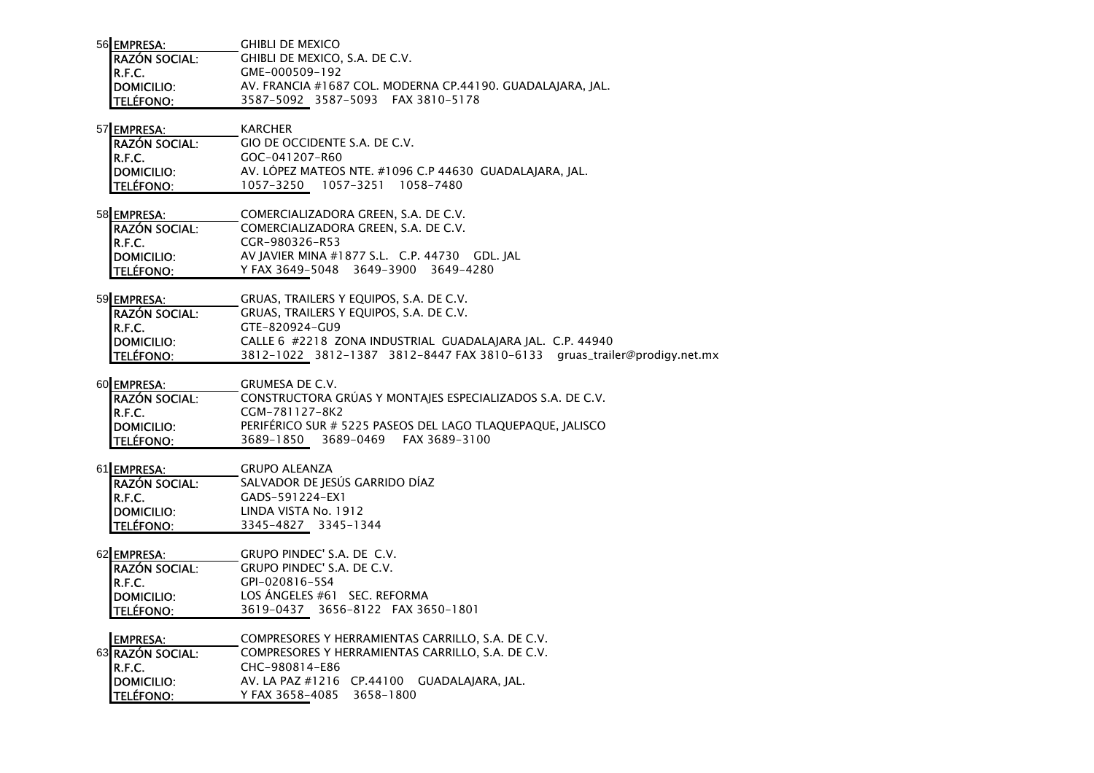| 56 EMPRESA:          | <b>GHIBLI DE MEXICO</b>                                    |
|----------------------|------------------------------------------------------------|
| <b>RAZÓN SOCIAL:</b> | GHIBLI DE MEXICO. S.A. DE C.V.                             |
| IR.F.C.              | GME-000509-192                                             |
| <b>IDOMICILIO:</b>   | AV. FRANCIA #1687 COL. MODERNA CP.44190. GUADALAIARA. IAL. |
| <b>ITELÉFONO:</b>    | 3587-5092 3587-5093 FAX 3810-5178                          |

| 57 EMPRESA:          | <b>KARCHER</b>                |
|----------------------|-------------------------------|
| <b>RAZÓN SOCIAL:</b> | GIO DE OCCIDENTE S.A. DE C.V. |
| IR.F.C.              | GOC-041207-R60                |

 DOMICILIO: AV. LÓPEZ MATEOS NTE. #1096 C.P 44630 GUADALAJARA, JAL.TELÉFONO: 1057-3250 1057-3251 1058-7480

| COMERCIALIZADORA GREEN, S.A. DE C.V.                                            |
|---------------------------------------------------------------------------------|
| COMERCIALIZADORA GREEN, S.A. DE C.V.                                            |
| CGR-980326-R53                                                                  |
| AV JAVIER MINA #1877 S.L. C.P. 44730 GDL. JAL                                   |
| Y FAX 3649-5048 3649-3900 3649-4280                                             |
| 58 EMPRESA:<br><b>RAZÓN SOCIAL:</b><br>R.F.C.<br>DOMICILIO:<br><b>TELÉFONO:</b> |

59 EMPRESA: GRUAS, TRAILERS Y EQUIPOS, S.A. DE C.V. RAZÓN SOCIAL: GRUAS, TRAILERS Y EQUIPOS, S.A. DE C.V. R.F.C.

 GTE-820924-GU9 DOMICILIO: CALLE 6 #2218 ZONA INDUSTRIAL GUADALAJARA JAL. C.P. 44940TELÉFONO: 3812-1022 3812-1387 3812-8447 FAX 3810-6133 gruas\_trailer@prodigy.net.mx

- 60 EMPRESA: GRUMESA DE C.V. RAZÓN SOCIAL: CONSTRUCTORA GRÚAS Y MONTAJES ESPECIALIZADOS S.A. DE C.V. R.F.C.**R.F.C.**<br>**DOMICILIO:** CGM-781127-8K2 DOMICILIO: PERIFÉRICO SUR # 5225 PASEOS DEL LAGO TLAQUEPAQUE, JALISCOTELÉFONO: 3689-1850 3689-0469 FAX 3689-3100
- 61 EMPRESA: GRUPO ALEANZA SALVADOR DE JESÚS GARRIDO DÍAZ RAZÓN SOCIAL:R.F.C. GADS-591224-EX1 DOMICILIO: LINDA VISTA No. 1912TELÉFONO: 3345-4827 3345-1344

62 EMPRESA: GRUPO PINDEC' S.A. DE C.V. RAZÓN SOCIAL: GRUPO PINDEC' S.A. DE C.V. R.F.C.**R.F.C.**<br>**DOMICILIO:** CPI-020816-5S4<br>**DOMICILIO:** LOS ÁNGELES #61 DOMICILIO: LOS ÁNGELES #61 SEC. REFORMATELÉFONO: 3619-0437 3656-8122 FAX 3650-1801

EMPRESA: COMPRESORES Y HERRAMIENTAS CARRILLO, S.A. DE C.V. 63 RAZÓN SOCIAL: COMPRESORES Y HERRAMIENTAS CARRILLO, S.A. DE C.V. R.F.C.**R.F.C.**<br>**DOMICILIO:** CHC-980814-E86<br>**DOMICILIO:** AV. LA PAZ #1216 **DOMICILIO:** AV. LA PAZ #1216 CP.44100 GUADALAJARA, JAL. TELÉFONO: Y FAX 3658-4085 3658-1800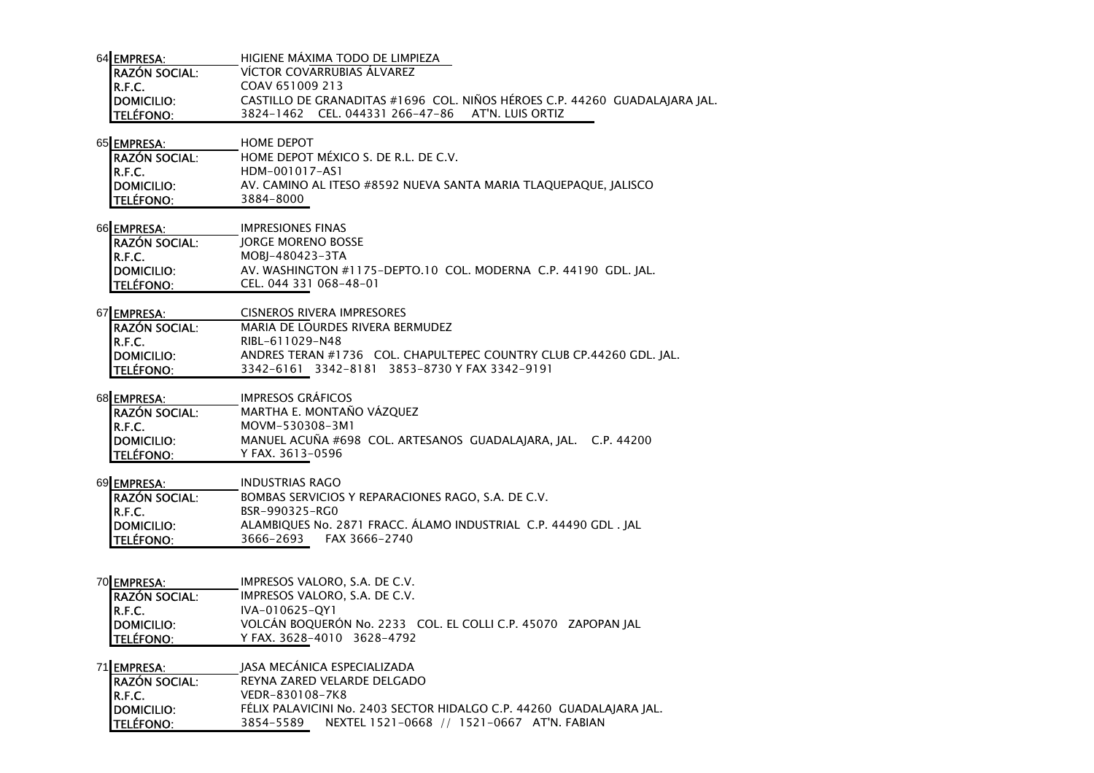| 64 EMPRESA:           | HIGIENE MAXIMA TODO DE LIMPIEZA                                            |
|-----------------------|----------------------------------------------------------------------------|
| <b>IRAZÓN SOCIAL:</b> | VÍCTOR COVARRUBIAS ALVAREZ                                                 |
| IR.F.C.               | COAV 651009 213                                                            |
| <b>IDOMICILIO:</b>    | CASTILLO DE GRANADITAS #1696 COL. NIÑOS HÉROES C.P. 44260 GUADALAJARA JAL. |
| <b>ITELÉFONO:</b>     | 3824-1462 CEL, 044331 266-47-86 AT'N, LUIS ORTIZ                           |

| 65 EMPRESA:          | <b>HOME DEPOT</b>                                                |
|----------------------|------------------------------------------------------------------|
| <b>RAZÓN SOCIAL:</b> | HOME DEPOT MÉXICO S. DE R.L. DE C.V.                             |
| IR.F.C.              | HDM-001017-AS1                                                   |
| <b>IDOMICILIO:</b>   | AV. CAMINO AL ITESO #8592 NUEVA SANTA MARIA TLAOUEPAOUE. IALISCO |
| <b>ITELÉFONO:</b>    | 3884-8000                                                        |

66 EMPRESA: **IMPRESIONES FINAS** RAZÓN SOCIAL: JORGE MORENO BOSSER.F.C.**R.F.C.**<br>DOMICILIO: MOBJ-480423-3TA **DOMICILIO**: AV. WASHINGTON #1175-DEPTO.10 COL. MODERNA C.P. 44190 GDL. JAL. TELÉFONO: CEL. 044 331 068-48-01

| 67 EMPRESA:           | CISNEROS RIVERA IMPRESORES                                          |  |  |
|-----------------------|---------------------------------------------------------------------|--|--|
| <b>IRAZÓN SOCIAL:</b> | MARIA DE LOURDES RIVERA BERMUDEZ                                    |  |  |
| IR.F.C.               | RIBL-611029-N48                                                     |  |  |
| <b>IDOMICILIO:</b>    | ANDRES TERAN #1736 COL. CHAPULTEPEC COUNTRY CLUB CP.44260 GDL. IAL. |  |  |
| <b>TELÉFONO:</b>      | 3342-6161 3342-8181 3853-8730 Y FAX 3342-9191                       |  |  |

68 EMPRESA: IMPRESOS GRÁFICOS

| <b>IRAZÓN SOCIAL:</b> | MARTHA E. MONTAÑO VÁZQUEZ                                     |
|-----------------------|---------------------------------------------------------------|
| IR.F.C.               | MOVM-530308-3M1                                               |
| <b>IDOMICILIO:</b>    | MANUEL ACUÑA #698 COL. ARTESANOS GUADALAJARA, JAL. C.P. 44200 |
| <b>TELÉFONO:</b>      | Y FAX. 3613–0596                                              |

## 69 EMPRESA: INDUSTRIAS RAGO

| <b>IRAZÓN SOCIAL:</b> | BOMBAS SERVICIOS Y REPARACIONES RAGO, S.A. DE C.V.              |
|-----------------------|-----------------------------------------------------------------|
| IR.F.C.               | BSR-990325-RG0                                                  |
| <b>IDOMICILIO:</b>    | ALAMBIOUES No. 2871 FRACC. ALAMO INDUSTRIAL C.P. 44490 GDL, IAL |
| <b>TELÉFONO:</b>      | 3666–2693<br>FAX 3666–2740                                      |

## 70 EMPRESA: IMPRESOS VALORO, S.A. DE C.V.

| <b>RAZÓN SOCIAL:</b> | IMPRESOS VALORO, S.A. DE C.V.                                 |
|----------------------|---------------------------------------------------------------|
| R.F.C.               | IVA-010625-OY1                                                |
| DOMICILIO:           | VOLCÁN BOQUERÓN No. 2233 COL. EL COLLI C.P. 45070 ZAPOPAN JAL |
| <b>TELÉFONO:</b>     | Y FAX. 3628-4010 3628-4792                                    |

71 EMPRESA: JASA MECÁNICA ESPECIALIZADA REYNA ZARED VELARDE DELGADORAZÓN SOCIAL:R.F.C.R.F.C. VEDR-830108-7K8<br>DOMICILIO: FÉLIX PALAVICINI No DOMICILIO: FÉLIX PALAVICINI No. 2403 SECTOR HIDALGO C.P. 44260 GUADALAJARA JAL. TELÉFONO: 3854-5589 NEXTEL 1521-0668 // 1521-0667 AT'N. FABIAN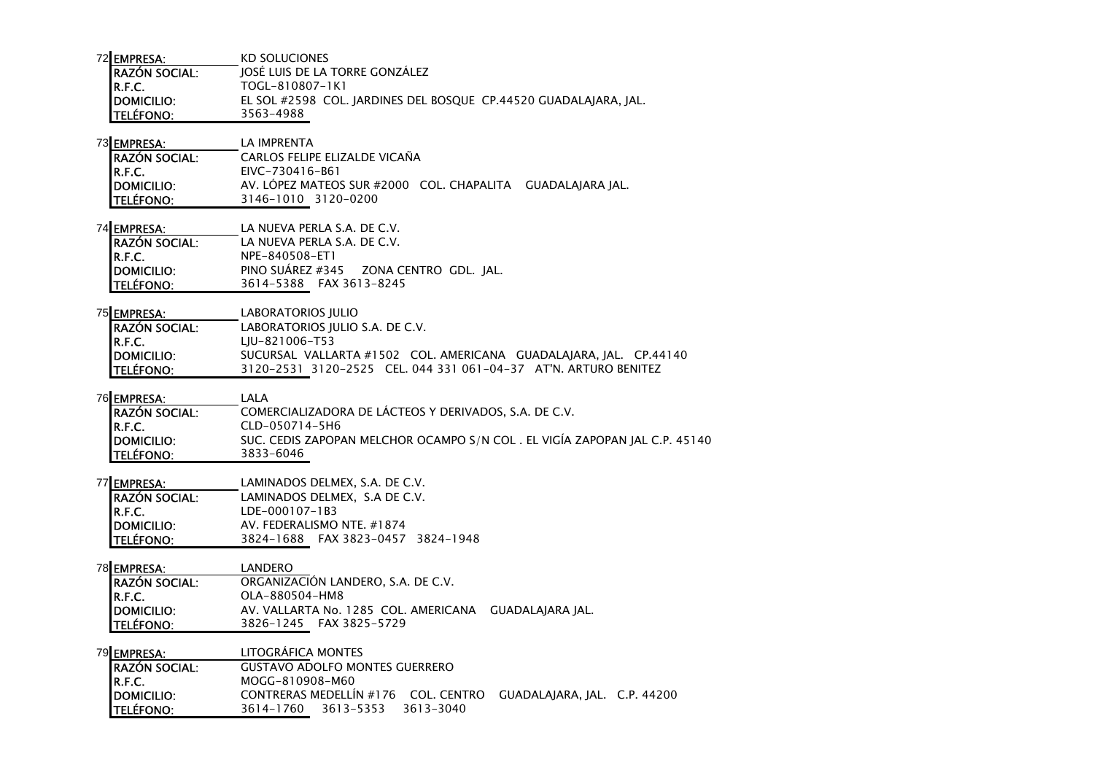72 FMPRFSA: KD SOLUCIONES RAZÓN SOCIAL: JOSÉ LUIS DE LA TORRE GONZÁLEZR.F.C. TOGL-810807-1K1 DOMICILIO: EL SOL #2598 COL. JARDINES DEL BOSQUE CP.44520 GUADALAJARA, JAL.TELÉFONO: 3563-4988

# 73 EMPRESA: LA IMPRENTA

 CARLOS FELIPE ELIZALDE VICAÑARAZÓN SOCIAL:R.F.C. EIVC-730416-B61**DOMICILIO:** AV. LÓPEZ MATEOS SUR #2000 COL. CHAPALITA GUADALAJARA JAL. TELÉFONO: 3146-1010 3120-0200

- 74 EMPRESA: LA NUEVA PERLA S.A. DE C.V. RAZÓN SOCIAL: LA NUEVA PERLA S.A. DE C.V. R.F.C. NPE-840508-ET1 DOMICILIO: PINO SUÁREZ #345 ZONA CENTRO GDL. JAL.TELÉFONO: 3614-5388 FAX 3613-8245
- 75 EMPRESA: LABORATORIOS IULIO LABORATORIOS JULIO S.A. DE C.V. RAZÓN SOCIAL:R.F.C. LJU-821006-T53 DOMICILIO: SUCURSAL VALLARTA #1502 COL. AMERICANA GUADALAJARA, JAL. CP.44140TELÉFONO: 3120-2531 3120-2525 CEL. 044 331 061-04-37 AT'N. ARTURO BENITEZ

## 76 <u>EMPRESA: LALA</u> COMERCIALIZADORA DE LÁCTEOS Y DERIVADOS, S.A. DE C.V. RAZÓN SOCIAL:R.F.C.**R.F.C.**<br>DOMICILIO: SUC. CEDIS ZAPOP DOMICILIO: SUC. CEDIS ZAPOPAN MELCHOR OCAMPO S/N COL . EL VIGÍA ZAPOPAN JAL C.P. 45140TELÉFONO: 3833-6046

77 EMPRESA: EMPRESA: LAMINADOS DELMEX, S.A. DE C.V.

| <b>RAZÓN SOCIAL:</b> |                | LAMINADOS DELMEX. S.A DE C.V.     |  |
|----------------------|----------------|-----------------------------------|--|
| IR.F.C.              | LDE-000107-1B3 |                                   |  |
| <b>IDOMICILIO:</b>   |                | AV. FEDERALISMO NTE. #1874        |  |
| <b>TELÉFONO:</b>     |                | 3824-1688 FAX 3823-0457 3824-1948 |  |
|                      |                |                                   |  |

| 78 EMPRESA:        | LANDERO                                               |
|--------------------|-------------------------------------------------------|
| RAZÓN SOCIAL:      | ORGANIZACIÓN LANDERO, S.A. DE C.V.                    |
| IR.F.C.            | OLA-880504-HM8                                        |
| <b>IDOMICILIO:</b> | AV. VALLARTA No. 1285 COL. AMERICANA GUADALAIARA IAL. |
| <b>TELÉFONO:</b>   | 3826-1245 FAX 3825-5729                               |

79 EMPRESA: LITOGRÁFICA MONTES RAZÓN SOCIAL: GUSTAVO ADOLFO MONTES GUERREROR.F.C. MOGG-810908-M60 DOMICILIO: CONTRERAS MEDELLÍN #176 COL. CENTRO GUADALAJARA, JAL. C.P. 44200TELÉFONO: 3614-1760 3613-5353 3613-3040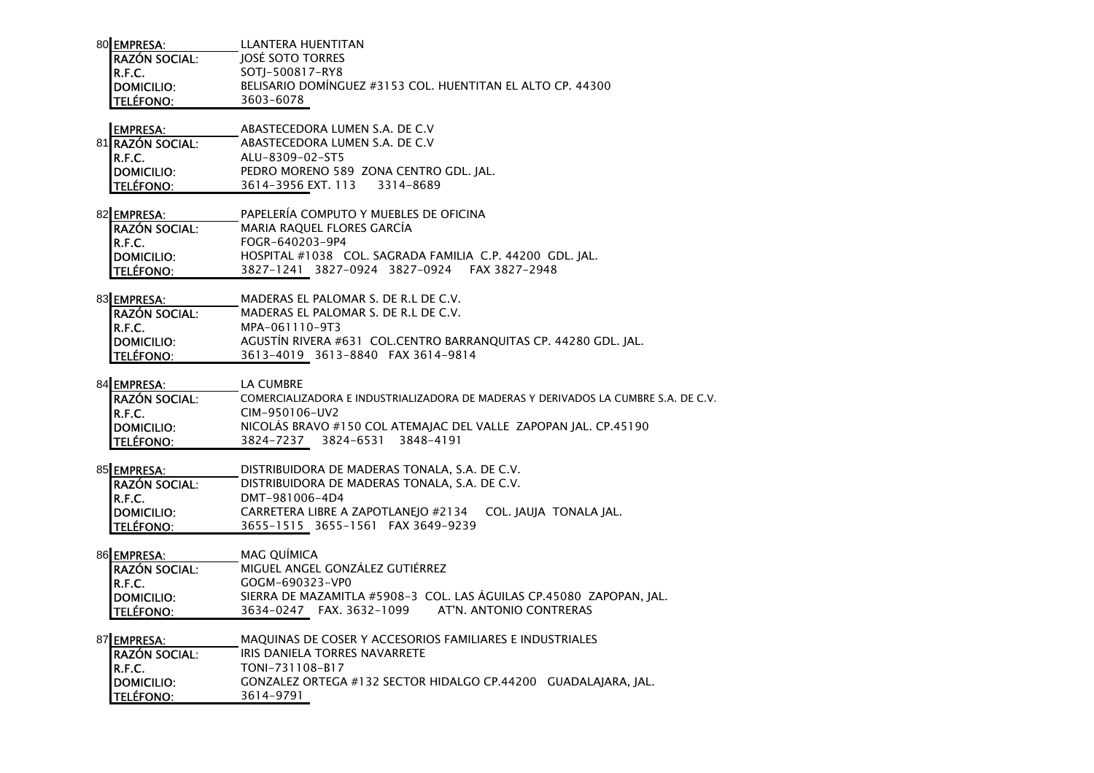| 80 EMPRESA:           | <b>II ANTERA HUENTITAN</b>                                 |
|-----------------------|------------------------------------------------------------|
| <b>IRAZÓN SOCIAL:</b> | <b>JOSÉ SOTO TORRES</b>                                    |
| IR.F.C.               | SOTI-500817-RY8                                            |
| <b>IDOMICILIO:</b>    | BELISARIO DOMÍNGUEZ #3153 COL. HUENTITAN EL ALTO CP. 44300 |
| <b>ITELÉFONO:</b>     | 3603-6078                                                  |
|                       |                                                            |

### EMPRESA:ABASTECEDORA LUMEN S.A. DE C.V

|                                          | ABASTECEDORA LUMEN S.A. DE C.V         |  |  |  |
|------------------------------------------|----------------------------------------|--|--|--|
|                                          | ALU-8309-02-ST5                        |  |  |  |
| 81 RAZÓN SOCIAL:<br>R.F.C.<br>DOMICILIO: | PEDRO MORENO 589 ZONA CENTRO GDL. IAL. |  |  |  |
| TELÉFONO:                                | 3614–3956 EXT. 113<br>3314-8689        |  |  |  |

| 82 EMPRESA:          | PAPELERÍA COMPUTO Y MUEBLES DE OFICINA                   |
|----------------------|----------------------------------------------------------|
| <b>RAZÓN SOCIAL:</b> | MARIA RAQUEL FLORES GARCÍA                               |
| R.F.C.               | FOGR-640203-9P4                                          |
| <b>IDOMICILIO:</b>   | HOSPITAL #1038 COL. SAGRADA FAMILIA C.P. 44200 GDL. IAL. |
| <b>ITELÉFONO:</b>    | 3827-1241 3827-0924 3827-0924 FAX 3827-2948              |

83 EMPRESA: MADERAS EL PALOMAR S. DE R.L DE C.V. BAZÓN SOCIAL: MADERAS EL PALOMAR S. DE R.L DE C.V.

| <b>IMALUN JULIAL.</b> | MADLIVIS LE LALVIMAN SI DE NIL DE CIVI                          |  |  |
|-----------------------|-----------------------------------------------------------------|--|--|
| IR.F.C.               | MPA-061110-9T3                                                  |  |  |
| <b>IDOMICILIO:</b>    | AGUSTÍN RIVERA #631 COL.CENTRO BARRANQUITAS CP. 44280 GDL. JAL. |  |  |
| <b>TELÉFONO:</b>      | 3613-4019 3613-8840 FAX 3614-9814                               |  |  |

# 84 EMPRESA: LA CUMBRE RAZÓN SOCIAL: COMERCIALIZADORA E INDUSTRIALIZADORA DE MADERAS Y DERIVADOS LA CUMBRE S.A. DE C.V. R.F.C. CIM-950106-UV2 DOMICILIO: NICOLÁS BRAVO #150 COL ATEMAJAC DEL VALLE ZAPOPAN JAL. CP.45190TELÉFONO: 3824-7237 3824-6531 3848-4191

## 85 EMPRESA: DISTRIBUIDORA DE MADERAS TONALA, S.A. DE C.V. RAZÓN SOCIAL: DISTRIBUIDORA DE MADERAS TONALA, S.A. DE C.V. R.F.C. DMT-981006-4D4 DOMICILIO: CARRETERA LIBRE A ZAPOTLANEJO #2134 COL. JAUJA TONALA JAL. **TELÉFONO:** 3655-1515 3655-1561 FAX 3649-9239

86 EMPRESA: MAG OUÍMICA MIGUEL ANGEL GONZÁLEZ GUTIÉRREZRAZÓN SOCIAL:R.F.C. GOGM-690323-VP0 DOMICILIO: SIERRA DE MAZAMITLA #5908-3 COL. LAS ÁGUILAS CP.45080 ZAPOPAN, JAL. TELÉFONO: 3634-0247 FAX. 3632-1099 AT'N. ANTONIO CONTRERAS

87 EMPRESA: MAQUINAS DE COSER Y ACCESORIOS FAMILIARES E INDUSTRIALES RAZÓN SOCIAL: IRIS DANIELA TORRES NAVARRETER.F.C. TONI-731108-B17 DOMICILIO: GONZALEZ ORTEGA #132 SECTOR HIDALGO CP.44200 GUADALAJARA, JAL.TELÉFONO: 3614-9791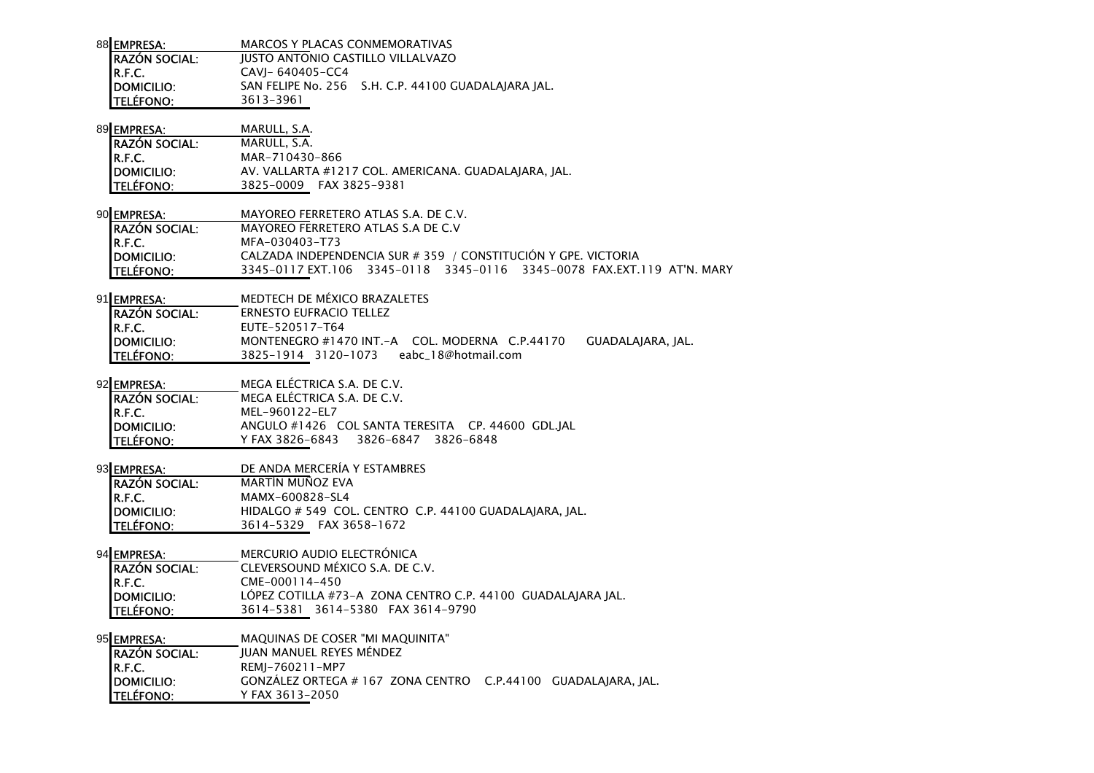| 88 EMPRESA: | MARCOS Y PLACAS CONMEMORATIVAS |                                          |                                                     |
|-------------|--------------------------------|------------------------------------------|-----------------------------------------------------|
|             | <b>RAZÓN SOCIAL:</b>           | <b>JUSTO ANTONIO CASTILLO VILLALVAZO</b> |                                                     |
|             |                                | CAVI- 640405-CC4                         |                                                     |
|             | R.F.C.<br>DOMICILIO:           |                                          | SAN FELIPE No. 256 S.H. C.P. 44100 GUADALAIARA IAL. |
|             | <b>TELÉFONO:</b>               | 3613-3961                                |                                                     |
|             |                                |                                          |                                                     |

| 89 EMPRESA:          | MARULL, S.A.                                         |
|----------------------|------------------------------------------------------|
| <b>RAZÓN SOCIAL:</b> | MARULL, S.A.                                         |
| IR.F.C.              | MAR-710430-866                                       |
| <b>IDOMICILIO:</b>   | AV. VALLARTA #1217 COL. AMERICANA. GUADALAIARA. IAL. |
| <b>ITELÉFONO:</b>    | 3825-0009 FAX 3825-9381                              |

| 90 EMPRESA:           | MAYOREO FERRETERO ATLAS S.A. DE C.V.                                   |
|-----------------------|------------------------------------------------------------------------|
| <b>IRAZÓN SOCIAL:</b> | MAYOREO FERRETERO ATLAS S.A DE C.V                                     |
| IR.F.C.               | MFA-030403-T73                                                         |
| <b>IDOMICILIO:</b>    | CALZADA INDEPENDENCIA SUR # 359 / CONSTITUCIÓN Y GPE. VICTORIA         |
| <b>ITELÉFONO:</b>     | 3345-0117 EXT.106 3345-0118 3345-0116 3345-0078 FAX.EXT.119 AT'N. MARY |

91 EMPRESA: MEDTECH DE MÉXICO BRAZALETES

| <b>IRAZÓN SOCIAL:</b> | ERNESTO EUFRACIO TELLEZ                          |                   |
|-----------------------|--------------------------------------------------|-------------------|
| IR.F.C.               | EUTE-520517-T64                                  |                   |
| <b>IDOMICILIO:</b>    | MONTENEGRO #1470 INT. - A COL. MODERNA C.P.44170 | GUADALAJARA, JAL. |
| <b>TELÉFONO:</b>      | eabc 18@hotmail.com<br>3825-1914 3120-1073       |                   |

92 EMPRESA: MEGA ELÉCTRICA S.A. DE C.V.

| <b>IRAZÓN SOCIAL:</b> |                                                   | MEGA ELECTRICA S.A. DE C.V. |  |  |  |
|-----------------------|---------------------------------------------------|-----------------------------|--|--|--|
| IR.F.C.               | MEL-960122-EL7                                    |                             |  |  |  |
| <b>IDOMICILIO:</b>    | ANGULO #1426 COL SANTA TERESITA CP. 44600 GDL.IAL |                             |  |  |  |
| <b>TELÉFONO:</b>      | Y FAX 3826-6843 3826-6847 3826-6848               |                             |  |  |  |

| 93 EMPRESA:           | DE ANDA MERCERIA Y ESTAMBRES                           |  |  |  |
|-----------------------|--------------------------------------------------------|--|--|--|
| <b>IRAZÓN SOCIAL:</b> | MARTÍN MUÑOZ EVA                                       |  |  |  |
| IR.F.C.               | MAMX-600828-SL4                                        |  |  |  |
| <b>IDOMICILIO:</b>    | HIDALGO # 549 COL. CENTRO C.P. 44100 GUADALAIARA. IAL. |  |  |  |
| <b>ITELÉFONO:</b>     | 3614-5329 FAX 3658-1672                                |  |  |  |

94 EMPRESA: MERCURIO AUDIO ELECTRÓNICA RAZÓN SOCIAL: CLEVERSOUND MÉXICO S.A. DE C.V. R.F.C. CME-000114-450 DOMICILIO: LÓPEZ COTILLA #73-A ZONA CENTRO C.P. 44100 GUADALAJARA JAL. TELÉFONO: 3614-5381 3614-5380 FAX 3614-9790

95 EMPRESA: MAQUINAS DE COSER "MI MAQUINITA"

RAZÓN SOCIAL: JUAN MANUEL REYES MÉNDEZR.F.C. REMJ-760211-MP7 DOMICILIO: GONZÁLEZ ORTEGA # 167 ZONA CENTRO C.P.44100 GUADALAJARA, JAL.TELÉFONO: Y FAX 3613-2050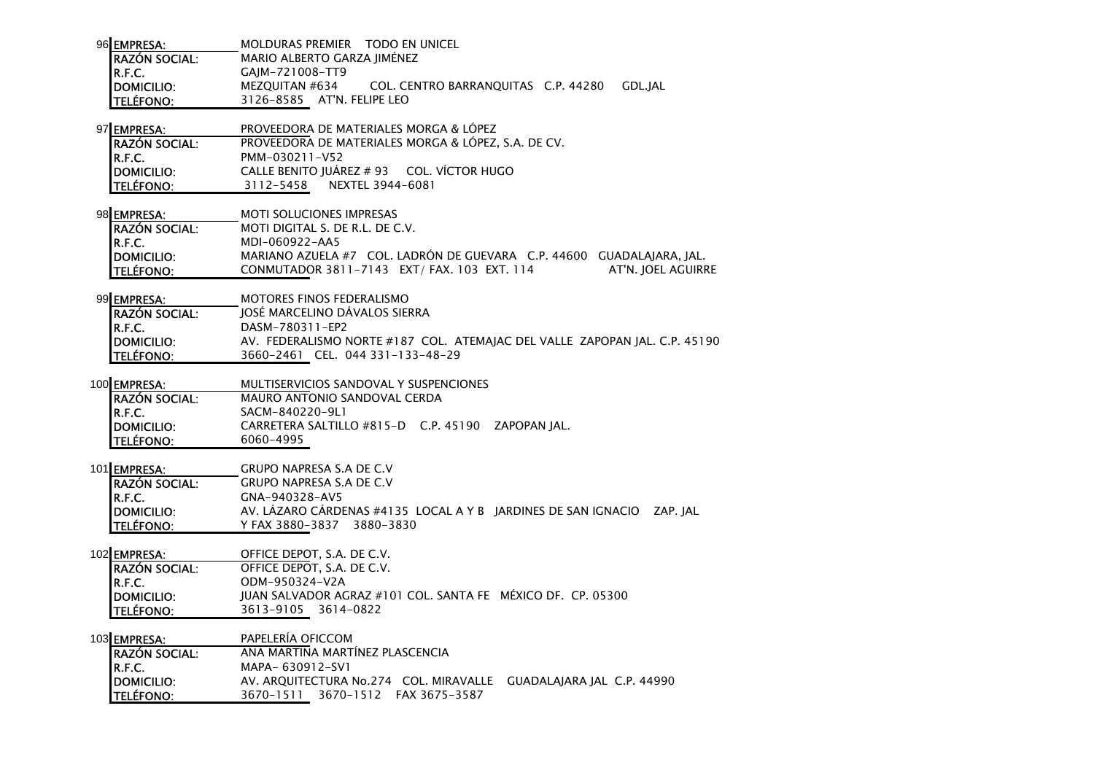| 96 EMPRESA:           | MOLDURAS PREMIER  TODO EN UNICEL                                 |
|-----------------------|------------------------------------------------------------------|
| <b>IRAZÓN SOCIAL:</b> | MARIO ALBERTO GARZA IIMÉNEZ                                      |
| IR.F.C.               | GAIM-721008-TT9                                                  |
| <b>IDOMICILIO:</b>    | COL. CENTRO BARRANOUITAS C.P. 44280<br>GDL.IAL<br>MEZOUITAN #634 |
| <b>ITELÉFONO:</b>     | 3126-8585 AT'N. FELIPE LEO                                       |

- 97 EMPRESA: PROVEEDORA DE MATERIALES MORGA & LÓPEZ PROVEEDORA DE MATERIALES MORGA & LÓPEZ, S.A. DE CV. RAZÓN SOCIAL:R.F.C. PMM-030211-V52 DOMICILIO: CALLE BENITO JUÁREZ # 93 COL. VÍCTOR HUGOTELÉFONO: 3112-5458 NEXTEL 3944-6081
- 98 EMPRESA: MOTI SOLUCIONES IMPRESAS RAZÓN SOCIAL: MOTI DIGITAL S. DE R.L. DE C.V. R.F.C.**R.F.C.**<br>**DOMICILIO:** MARIANO AZUELA DOMICILIO: MARIANO AZUELA #7 COL. LADRÓN DE GUEVARA C.P. 44600 GUADALAJARA, JAL.AT'N. IOEL AGUIRRE TELÉFONO: CONMUTADOR 3811-7143 EXT/ FAX. 103 EXT. 114
- 99 EMPRESA: MOTORES FINOS FEDERALISMO

| <b>IRAZÓN SOCIAL:</b> | <b>IOSE MARCELINO DAVALOS SIERRA</b>                                       |  |  |
|-----------------------|----------------------------------------------------------------------------|--|--|
| IR.F.C.               | DASM-780311-EP2                                                            |  |  |
| <b>IDOMICILIO:</b>    | AV. FEDERALISMO NORTE #187 COL. ATEMAIAC DEL VALLE ZAPOPAN IAL. C.P. 45190 |  |  |
| <b>TELÉFONO:</b>      | 3660-2461 CEL. 044 331-133-48-29                                           |  |  |

- 100 EMPRESA: MULTISERVICIOS SANDOVAL Y SUSPENCIONES RAZÓN SOCIAL: MAURO ANTONIO SANDOVAL CERDA R.F.C. SACM-840220-9L1 DOMICILIO: CARRETERA SALTILLO #815-D C.P. 45190 ZAPOPAN JAL.
	- TELÉFONO: 6060-4995
- 101**EMPRESA:** GRUPO NAPRESA S.A DE C.V GRUPO NAPRESA S.A DE C.VRAZÓN SOCIAL:R.F.C. GNA-940328-AV5 DOMICILIO: AV. LÁZARO CÁRDENAS #4135 LOCAL A Y B JARDINES DE SAN IGNACIO ZAP. JALTELÉFONO: Y FAX 3880-3837 3880-3830

#### 102**EMPRESA:** OFFICE DEPOT, S.A. DE C.V.

RAZÓN SOCIAL: OFFICE DEPOT, S.A. DE C.V. R.F.C. ODM-950324-V2A DOMICILIO: JUAN SALVADOR AGRAZ #101 COL. SANTA FE MÉXICO DF. CP. 05300TELÉFONO: 3613-9105 3614-0822

103 EMPRESA: EMPRESA: PAPELERÍA OFICCOM ANA MARTINA MARTÍNEZ PLASCENCIARAZÓN SOCIAL:R.F.C. MAPA- 630912-SV1**DOMICILIO**: AV. ARQUITECTURA No.274 COL. MIRAVALLE GUADALAJARA JAL C.P. 44990 TELÉFONO: 3670-1511 3670-1512 FAX 3675-3587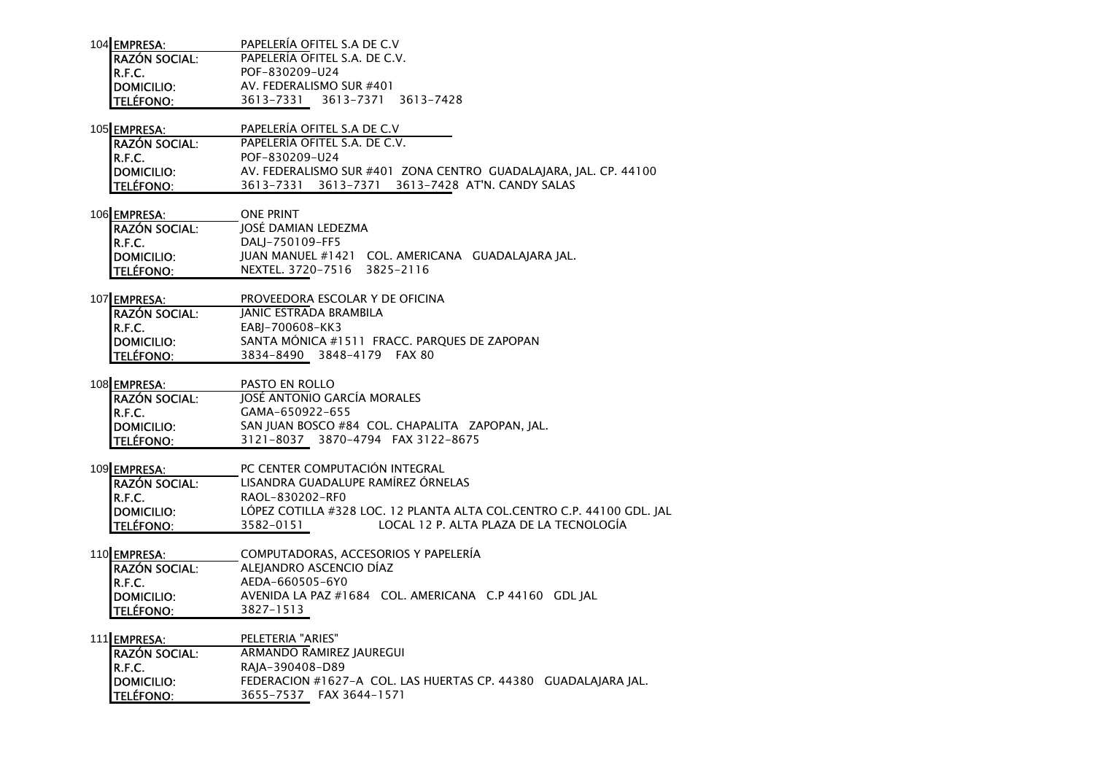| 104 EMPRESA:         | PAPELERÍA OFITEL S.A DE C.V   |                               |  |
|----------------------|-------------------------------|-------------------------------|--|
| <b>RAZÓN SOCIAL:</b> | PAPELERÍA OFITEL S.A. DE C.V. |                               |  |
| IR.F.C.              | POF-830209-U24                |                               |  |
| DOMICILIO:           | AV. FEDERALISMO SUR #401      |                               |  |
| TELÉFONO:            |                               | 3613-7331 3613-7371 3613-7428 |  |
|                      |                               |                               |  |

| 105 <b>I EMPRESA:</b> | PAPELERIA OFITEL S.A DE C.V                                      |
|-----------------------|------------------------------------------------------------------|
| <b>RAZÓN SOCIAL:</b>  | PAPELERIA OFITEL S.A. DE C.V.                                    |
| IR.F.C.               | POF-830209-U24                                                   |
| <b>IDOMICILIO:</b>    | AV. FEDERALISMO SUR #401 ZONA CENTRO GUADALAIARA. IAL. CP. 44100 |
| <b>TELÉFONO:</b>      | 3613-7331 3613-7371 3613-7428 AT'N. CANDY SALAS                  |

| 106 <b>EMPRESA:</b>  | ONE PRINT                                         |  |
|----------------------|---------------------------------------------------|--|
| <b>RAZÓN SOCIAL:</b> | IOSÉ DAMIAN LEDEZMA                               |  |
| IR.F.C.              | DALI-750109-FF5                                   |  |
| <b>IDOMICILIO:</b>   | JUAN MANUEL #1421 COL. AMERICANA GUADALAJARA JAL. |  |
| <b>ITELÉFONO:</b>    | NEXTEL. 3720-7516 3825-2116                       |  |

107 EMPRESA: PROVEEDORA ESCOLAR Y DE OFICINA RAZÓN SOCIAL: JANIC ESTRADA BRAMBILA $I_{\rm P}$  F.C.  $FARI-700608-KK3$ 

| .                |                                              |
|------------------|----------------------------------------------|
| DOMICILIO:       | SANTA MÓNICA #1511 FRACC. PARQUES DE ZAPOPAN |
| <b>TELÉFONO:</b> | 3834-8490 3848-4179 FAX 80                   |

108 EMPRESA: PASTO EN ROLLO

| <b>RAZÓN SOCIAL:</b> | JOSÉ ANTONIO GARCÍA MORALES                     |
|----------------------|-------------------------------------------------|
| R.F.C.               | GAMA-650922-655                                 |
| DOMICILIO:           | SAN JUAN BOSCO #84 COL. CHAPALITA ZAPOPAN. IAL. |
| <b>TELÉFONO:</b>     | 3121-8037 3870-4794 FAX 3122-8675               |

## 109 EMPRESA: PC CENTER COMPUTACIÓN INTEGRAL RAZÓN SOCIAL: LISANDRA GUADALUPE RAMÍREZ ÓRNELAS R.F.C. RAOL-830202-RF0 DOMICILIO: LÓPEZ COTILLA #328 LOC. 12 PLANTA ALTA COL.CENTRO C.P. 44100 GDL. JALTELÉFONO: 3582-0151 LOCAL 12 P. ALTA PLAZA DE LA TECNOLOGÍA

110EMPRESA: COMPUTADORAS, ACCESORIOS Y PAPELERÍA RAZÓN SOCIAL: ALEJANDRO ASCENCIO DÍAZR.F.C. AEDA-660505-6Y0 DOMICILIO: AVENIDA LA PAZ #1684 COL. AMERICANA C.P 44160 GDL JALTELÉFONO: 3827-1513

111EMPRESA: PELETERIA "ARIES" RAZÓN SOCIAL: ARMANDO RAMIREZ JAUREGUI R.F.C.**R.F.C.**<br>**DOMICILIO:** RAJA-390408-D89 DOMICILIO: FEDERACION #1627-A COL. LAS HUERTAS CP. 44380 GUADALAJARA JAL.TELÉFONO: 3655-7537 FAX 3644-1571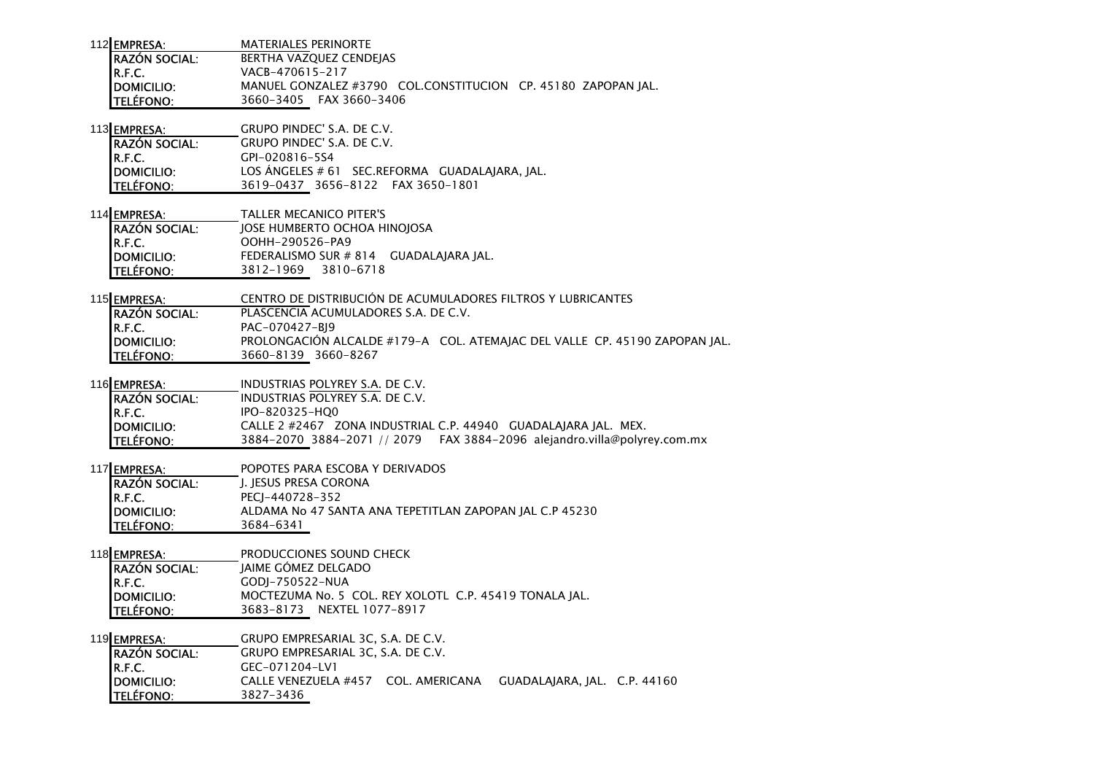| 112 <b>I EMPRESA:</b> | MATERIALES PERINORTE                                          |
|-----------------------|---------------------------------------------------------------|
| <b>IRAZÓN SOCIAL:</b> | <b>BERTHA VAZOUEZ CENDEIAS</b>                                |
| IR.F.C.               | VACB-470615-217                                               |
| <b>IDOMICILIO:</b>    | MANUEL GONZALEZ #3790 COL.CONSTITUCION CP. 45180 ZAPOPAN IAL. |
| <b>I</b> TELÉFONO:    | 3660-3405 FAX 3660-3406                                       |

113 EMPRESA: GRUPO PINDEC' S.A. DE C.V.

| <b>IRAZÓN SOCIAL:</b> | GRUPO PINDEC' S.A. DE C.V.                     |
|-----------------------|------------------------------------------------|
| IR.F.C.               | GPI-020816-5S4                                 |
| DOMICILIO:            | LOS ÁNGELES # 61 SEC.REFORMA GUADALAJARA, JAL. |
| <b>TELÉFONO:</b>      | 3619-0437 3656-8122 FAX 3650-1801              |

114EMPRESA: TALLER MECANICO PITER'S RAZÓN SOCIAL: JOSE HUMBERTO OCHOA HINOJOSAR.F.C. OOHH-290526-PA9 DOMICILIO: FEDERALISMO SUR # 814 GUADALAJARA JAL. TELÉFONO: 3812-1969 3810-6718

115**EMPRESA:** CENTRO DE DISTRIBUCIÓN DE ACUMULADORES FILTROS Y LUBRICANTES RAZÓN SOCIAL: PLASCENCIA ACUMULADORES S.A. DE C.V. R.F.C.**R.F.C.**<br>**DOMICILIO:** PROLONGACIÓN A DOMICILIO: PROLONGACIÓN ALCALDE #179-A COL. ATEMAJAC DEL VALLE CP. 45190 ZAPOPAN JAL.TELÉFONO: 3660-8139 3660-8267

116EMPRESA: INDUSTRIAS POLYREY S.A. DE C.V.

| <b>RAZÓN SOCIAL:</b> | INDUSTRIAS POLYREY S.A. DE C.V.                                           |
|----------------------|---------------------------------------------------------------------------|
| IR.F.C.              | IPO-820325-HOO                                                            |
| <b>IDOMICILIO:</b>   | CALLE 2 #2467 ZONA INDUSTRIAL C.P. 44940 GUADALAIARA IAL. MEX.            |
| <b>TELÉFONO:</b>     | 3884-2070 3884-2071 // 2079  FAX 3884-2096 alejandro.villa@polyrey.com.mx |

| 117 <b>I</b> EMPRESA: | POPOTES PARA ESCOBA Y DERIVADOS                         |
|-----------------------|---------------------------------------------------------|
| <b>IRAZÓN SOCIAL:</b> | I. IESUS PRESA CORONA                                   |
| IR.F.C.               | PECI-440728-352                                         |
| <b>IDOMICILIO:</b>    | ALDAMA No 47 SANTA ANA TEPETITLAN ZAPOPAN IAL C.P 45230 |
| <b>ITELÉFONO:</b>     | 3684-6341                                               |

118 EMPRESA: PRODUCCIONES SOUND CHECK RAZÓN SOCIAL: JAIME GÓMEZ DELGADOR.F.C. GODJ-750522-NUA DOMICILIO: MOCTEZUMA No. 5 COL. REY XOLOTL C.P. 45419 TONALA JAL. TELÉFONO: 3683-8173 NEXTEL 1077-8917

119EMPRESA: GRUPO EMPRESARIAL 3C, S.A. DE C.V. RAZÓN SOCIAL:

 GRUPO EMPRESARIAL 3C, S.A. DE C.V. R.F.C.**R.F.C.**<br>DOMICILIO: CALLE VENEZUELA DOMICILIO: CALLE VENEZUELA #457 COL. AMERICANA GUADALAJARA, JAL. C.P. 44160TELÉFONO: 3827-3436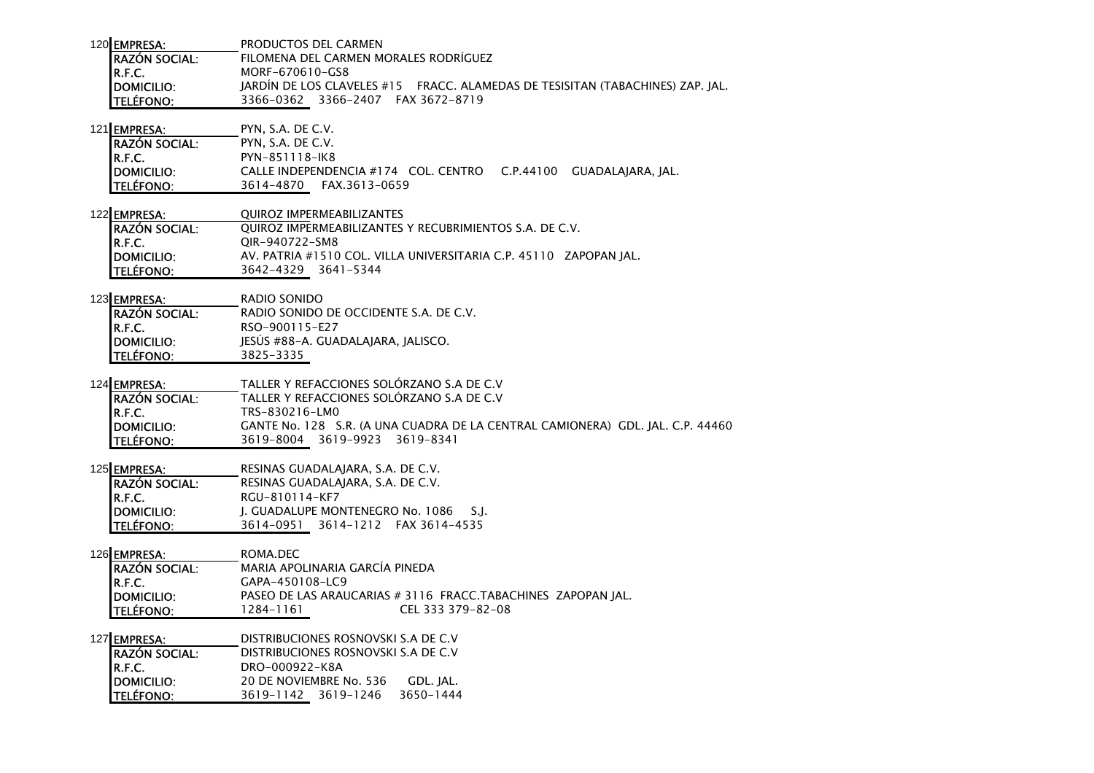| 120 EMPRESA:          | PRODUCTOS DEL CARMEN                                                           |
|-----------------------|--------------------------------------------------------------------------------|
| <b>IRAZÓN SOCIAL:</b> | FILOMENA DEL CARMEN MORALES RODRÍGUEZ                                          |
| IR.F.C.               | MORF-670610-GS8                                                                |
| <b>IDOMICILIO:</b>    | JARDÍN DE LOS CLAVELES #15 FRACC. ALAMEDAS DE TESISITAN (TABACHINES) ZAP. JAL. |
| <b>ITELÉFONO:</b>     | 3366-0362 3366-2407 FAX 3672-8719                                              |

121 EMPRESA: PYN, S.A. DE C.V.

| <b>IRAZÓN SOCIAL:</b> | PYN. S.A. DE C.V. |                                                                  |  |
|-----------------------|-------------------|------------------------------------------------------------------|--|
| IR.F.C.               | PYN-851118-IK8    |                                                                  |  |
| <b>IDOMICILIO:</b>    |                   | CALLE INDEPENDENCIA #174 COL. CENTRO C.P.44100 GUADALAIARA. IAL. |  |
| <b>ITELÉFONO:</b>     | 3614–4870         | FAX.3613-0659                                                    |  |

| 122 <b>I</b> EMPRESA: | <b>OUIROZ IMPERMEABILIZANTES</b>                                  |
|-----------------------|-------------------------------------------------------------------|
| <b>RAZÓN SOCIAL:</b>  | OUIROZ IMPERMEABILIZANTES Y RECUBRIMIENTOS S.A. DE C.V.           |
| R.F.C.                | OIR-940722-SM8                                                    |
| <b>IDOMICILIO:</b>    | AV. PATRIA #1510 COL. VILLA UNIVERSITARIA C.P. 45110 ZAPOPAN IAL. |
| <b>TELÉFONO:</b>      | 3642-4329 3641-5344                                               |

123 EMPRESA: RADIO SONIDO RAZÓN SOCIAL: RADIO SONIDO DE OCCIDENTE S.A. DE C.V. R.F.C.<br>DOMICILIO: RSO-900115-E27 DOMICILIO: JESÚS #88-A. GUADALAJARA, JALISCO.TELÉFONO: 3825-3335

| 124 <b>IEMPRESA:</b>  | TALLER Y REFACCIONES SOLORZANO S.A DE C.V                                      |
|-----------------------|--------------------------------------------------------------------------------|
| <b>IRAZÓN SOCIAL:</b> | TALLER Y REFACCIONES SOLORZANO S.A DE C.V                                      |
| IR.F.C.               | TRS-830216-LM0                                                                 |
| <b>IDOMICILIO:</b>    | GANTE No. 128 S.R. (A UNA CUADRA DE LA CENTRAL CAMIONERA) GDL. IAL. C.P. 44460 |
| <b>ITELÉFONO:</b>     | 3619-8004 3619-9923 3619-8341                                                  |

| 125 EMPRESA:         | RESINAS GUADALAIARA, S.A. DE C.V.       |
|----------------------|-----------------------------------------|
| <b>RAZÓN SOCIAL:</b> | RESINAS GUADALAIARA. S.A. DE C.V.       |
| IR.F.C.              | RGU-810114-KF7                          |
| DOMICILIO:           | I. GUADALUPE MONTENEGRO No. 1086<br>S.L |
| <b>TELÉFONO:</b>     | 3614-0951 3614-1212 FAX 3614-4535       |

126 <u>EMPRESA: ROMA.DEC</u> MARIA APOLINARIA GARCÍA PINEDARAZÓN SOCIAL: R.F.C.**R.F.C.**<br>DOMICILIO: **GAPA-450108-LC9**<br>PASEO DE LAS ARAU DOMICILIO: PASEO DE LAS ARAUCARIAS # 3116 FRACC.TABACHINES ZAPOPAN JAL. TELÉFONO: 1284-1161 CEL 333 379-82-08

| 127 EMPRESA:         |                | DISTRIBUCIONES ROSNOVSKI S.A DE C.V |           |
|----------------------|----------------|-------------------------------------|-----------|
| <b>RAZÓN SOCIAL:</b> |                | DISTRIBUCIONES ROSNOVSKI S.A DE C.V |           |
|                      | DRO-000922-K8A |                                     |           |
| R.F.C.<br>DOMICILIO: |                | 20 DE NOVIEMBRE No. 536             | GDL. IAL. |
| TELÉFONO:            |                | 3619-1142 3619-1246                 | 3650-1444 |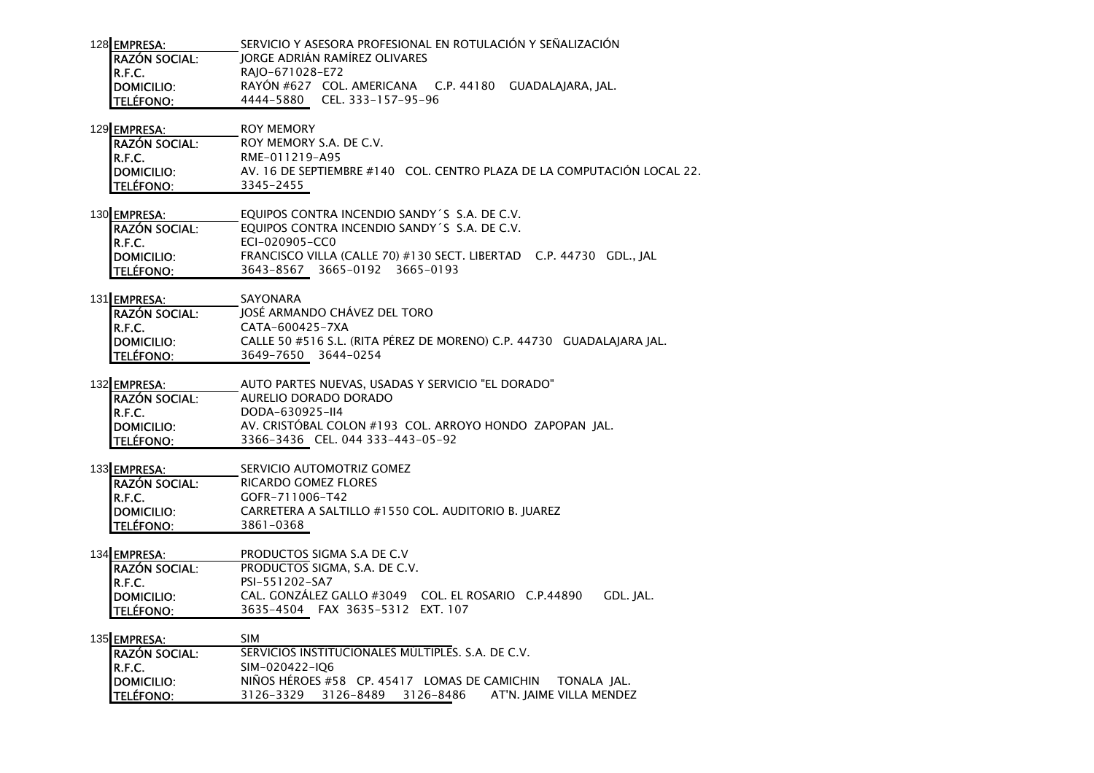| 128 EMPRESA:         |                 |                               | SERVICIO Y ASESORA PROFESIONAL EN ROTULACIÓN Y SEÑALIZACIÓN |
|----------------------|-----------------|-------------------------------|-------------------------------------------------------------|
| <b>RAZÓN SOCIAL:</b> |                 | JORGE ADRIÁN RAMÍREZ OLIVARES |                                                             |
| R.F.C.               | RAIO-671028-E72 |                               |                                                             |
| DOMICILIO:           |                 |                               | RAYÓN #627 COL. AMERICANA C.P. 44180 GUADALAJARA, JAL.      |
| <b>TELÉFONO:</b>     |                 | 4444-5880 CEL. 333-157-95-96  |                                                             |

| 129 <b>EMPRESA:</b>   | ROY MEMORY              |                                                                         |
|-----------------------|-------------------------|-------------------------------------------------------------------------|
| <b>IRAZÓN SOCIAL:</b> | ROY MEMORY S.A. DE C.V. |                                                                         |
| IR.F.C.               | RME-011219-A95          |                                                                         |
| <b>IDOMICILIO:</b>    |                         | AV. 16 DE SEPTIEMBRE #140 COL. CENTRO PLAZA DE LA COMPUTACIÓN LOCAL 22. |
| <b>TELÉFONO:</b>      | 3345-2455               |                                                                         |

| 130 <b>I EMPRESA:</b> | EQUIPOS CONTRA INCENDIO SANDY S S.A. DE C.V.                        |  |
|-----------------------|---------------------------------------------------------------------|--|
| <b>RAZÓN SOCIAL:</b>  | EQUIPOS CONTRA INCENDIO SANDY S S.A. DE C.V.                        |  |
| IR.F.C.               | ECI-020905-CC0                                                      |  |
| <b>IDOMICILIO:</b>    | FRANCISCO VILLA (CALLE 70) #130 SECT. LIBERTAD C.P. 44730 GDL., IAL |  |
| <b>ITELÉFONO:</b>     | 3643-8567 3665-0192 3665-0193                                       |  |

| 131 EMPRESA:         | SAYONARA                                                              |
|----------------------|-----------------------------------------------------------------------|
| <b>RAZÓN SOCIAL:</b> | JOSÉ ARMANDO CHÁVEZ DEL TORO                                          |
| IR.F.C.              | CATA-600425-7XA                                                       |
| <b>IDOMICILIO:</b>   | CALLE 50 #516 S.L. (RITA PÉREZ DE MORENO) C.P. 44730 GUADALAIARA IAL. |
| <b>I</b> TELÉFONO:   | 3649-7650 3644-0254                                                   |

| 132EMPRESA:          | AUTO PARTES NUEVAS, USADAS Y SERVICIO "EL DORADO"       |
|----------------------|---------------------------------------------------------|
| <b>RAZÓN SOCIAL:</b> | AURELIO DORADO DORADO                                   |
| IR.F.C.              | DODA-630925-II4                                         |
| <b>IDOMICILIO:</b>   | AV. CRISTÓBAL COLON #193 COL. ARROYO HONDO ZAPOPAN JAL. |
| <b>TELÉFONO:</b>     | 3366-3436 CEL. 044 333-443-05-92                        |

| 133 EMPRESA:       | SERVICIO AUTOMOTRIZ GOMEZ                           |
|--------------------|-----------------------------------------------------|
| RAZÓN SOCIAL:      | RICARDO GOMEZ FLORES                                |
| IR.F.C.            | GOFR-711006-T42                                     |
| <b>IDOMICILIO:</b> | CARRETERA A SALTILLO #1550 COL. AUDITORIO B. IUAREZ |
| <b>TELÉFONO:</b>   | 3861-0368                                           |

## 134 EMPRESA: PRODUCTOS SIGMA S.A DE C.V

 PRODUCTOS SIGMA, S.A. DE C.V. RAZÓN SOCIAL: R.F.C.**R.F.C.** PSI-551202-SA7<br>DOMICILIO: CAL. GONZÁLEZ C DOMICILIO: CAL. GONZÁLEZ GALLO #3049 COL. EL ROSARIO C.P.44890 GDL. JAL. TELÉFONO: 3635-4504 FAX 3635-5312 EXT. 107

| 135 EMPRESA:          | <b>SIM</b>                                                   |
|-----------------------|--------------------------------------------------------------|
| <b>IRAZÓN SOCIAL:</b> | SERVICIOS INSTITUCIONALES MÚLTIPLES. S.A. DE C.V.            |
| IR.F.C.               | SIM-020422-IO6                                               |
| <b>IDOMICILIO:</b>    | NIÑOS HÉROES #58 CP. 45417 LOMAS DE CAMICHIN TONALA JAL.     |
| <b>ITELÉFONO:</b>     | AT'N. IAIME VILLA MENDEZ<br>3126-8486<br>3126-3329 3126-8489 |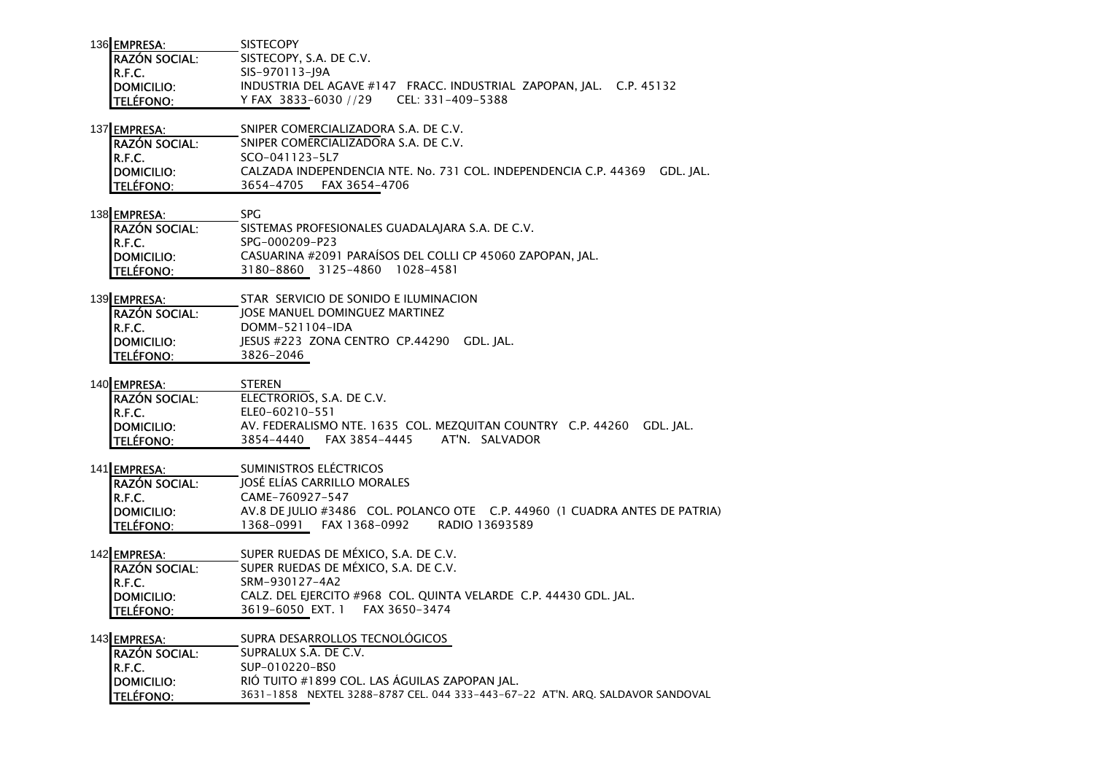| 136 EMPRESA:         | <b>SISTECOPY</b>                                                    |  |
|----------------------|---------------------------------------------------------------------|--|
| <b>RAZÓN SOCIAL:</b> | SISTECOPY, S.A. DE C.V.                                             |  |
| R.F.C.               | SIS-970113-19A                                                      |  |
| <b>IDOMICILIO:</b>   | INDUSTRIA DEL AGAVE #147 FRACC. INDUSTRIAL ZAPOPAN, JAL. C.P. 45132 |  |
| <b>TELÉFONO:</b>     | Y FAX 3833-6030 //29 CEL: 331-409-5388                              |  |

137 EMPRESA: SNIPER COMERCIALIZADORA S.A. DE C.V.

| <b>IRAZÓN SOCIAL:</b> | SNIPER COMERCIALIZADORA S.A. DE C.V.                                       |  |
|-----------------------|----------------------------------------------------------------------------|--|
| IR.F.C.               | SCO-041123-5L7                                                             |  |
| <b>IDOMICILIO:</b>    | CALZADA INDEPENDENCIA NTE. No. 731 COL. INDEPENDENCIA C.P. 44369 GDL. IAL. |  |
| <b>TELÉFONO:</b>      | 3654–4705<br>FAX 3654–4706                                                 |  |

- 138 EMPRESA: SPG SISTEMAS PROFESIONALES GUADALAJARA S.A. DE C.V. RAZÓN SOCIAL:R.F.C. SPG-000209-P23 DOMICILIO: CASUARINA #2091 PARAÍSOS DEL COLLI CP 45060 ZAPOPAN, JAL.TELÉFONO: 3180-8860 3125-4860 1028-4581
- 139 EMPRESA: STAR SERVICIO DE SONIDO E ILUMINACION

| <b>RAZÓN SOCIAL:</b> | <b>IOSE MANUEL DOMINGUEZ MARTINEZ</b>     |
|----------------------|-------------------------------------------|
| IR.F.C.              | DOMM-521104-IDA                           |
| DOMICILIO:           | IESUS #223 ZONA CENTRO CP.44290 GDL. IAL. |
| <b>TELÉFONO:</b>     | 3826-2046                                 |

- 140 **EMPRESA:** STEREN ELECTRORIOS, S.A. DE C.V. RAZÓN SOCIAL:R.F.C.**R.F.C.**<br>DOMICILIO: ELEO-60210-551 DOMICILIO: AV. FEDERALISMO NTE. 1635 COL. MEZQUITAN COUNTRY C.P. 44260 GDL. JAL.TELÉFONO: 3854-4440 FAX 3854-4445 AT'N. SALVADOR
- 141 EMPRESA: SUMINISTROS ELÉCTRICOS RAZÓN SOCIAL: JOSÉ ELÍAS CARRILLO MORALESR.F.C.**R.F.C.**<br>**DOMICILIO:** CAME-760927-547<br>**DOMICILIO:** AV.8 DE JULIO #3486 DOMICILIO: AV.8 DE JULIO #3486 COL. POLANCO OTE C.P. 44960 (1 CUADRA ANTES DE PATRIA)TELÉFONO: 1368-0991 FAX 1368-0992 RADIO 13693589
- 142 EMPRESA: SUPER RUEDAS DE MÉXICO, S.A. DE C.V. RAZÓN SOCIAL: SUPER RUEDAS DE MÉXICO, S.A. DE C.V. R.F.C. SRM-930127-4A2 DOMICILIO: CALZ. DEL EJERCITO #968 COL. QUINTA VELARDE C.P. 44430 GDL. JAL. TELÉFONO: 3619-6050 EXT. 1 FAX 3650-3474

143 EMPRESA: SUPRA DESARROLLOS TECNOLÓGICOS RAZÓN SOCIAL: SUPRALUX S.A. DE C.V. R.F.C.**R.F.C.**<br>**DOMICILIO:** SUP-010220-BS0 DOMICILIO: RIÓ TUITO #1899 COL. LAS ÁGUILAS ZAPOPAN JAL. TELÉFONO: 3631-1858 NEXTEL 3288-8787 CEL. 044 333-443-67-22 AT'N. ARQ. SALDAVOR SANDOVAL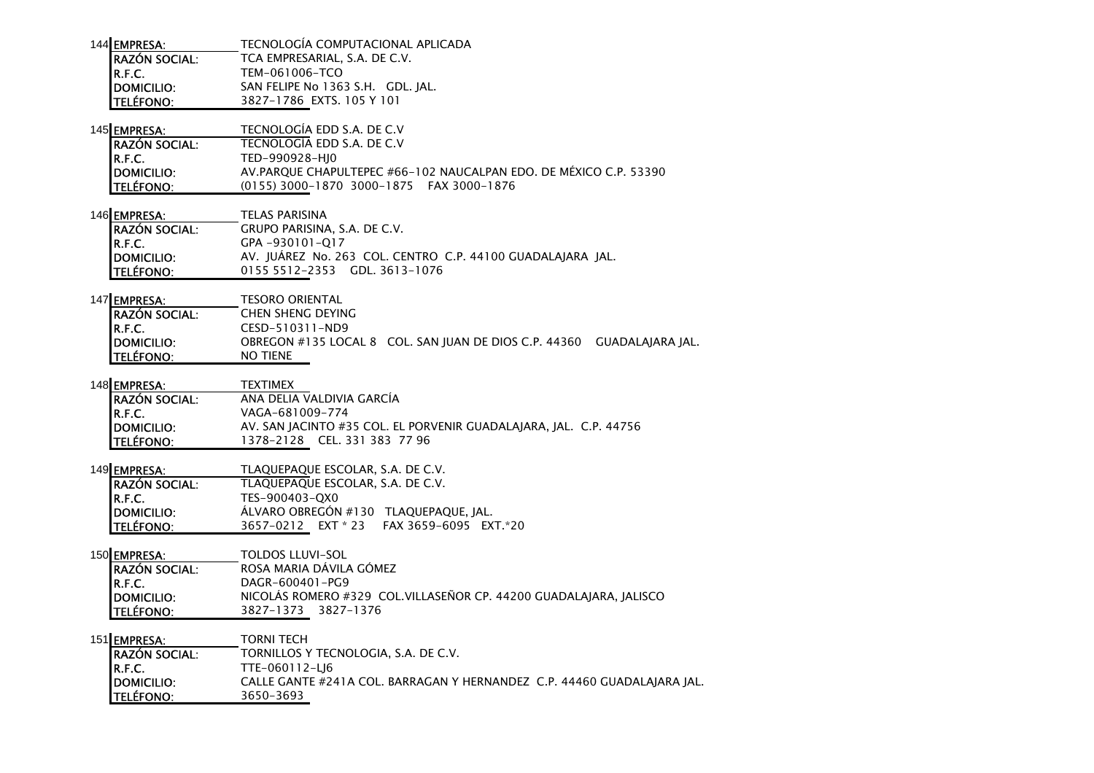| 144 EMPRESA:         | TECNOLOGÍA COMPUTACIONAL APLICADA |
|----------------------|-----------------------------------|
| <b>RAZÓN SOCIAL:</b> | TCA EMPRESARIAL, S.A. DE C.V.     |
|                      | TEM-061006-TCO                    |
| R.F.C.<br>DOMICILIO: | SAN FELIPE No 1363 S.H. GDL. JAL. |
| <b>TELÉFONO:</b>     | 3827-1786 EXTS, 105 Y 101         |
|                      |                                   |

145 EMPRESA: TECNOLOGÍA EDD S.A. DE C.V

| <b>IRAZÓN SOCIAL:</b> | TECNOLOGIA EDD S.A. DE C.V                                        |
|-----------------------|-------------------------------------------------------------------|
| IR.F.C.               | TED-990928-HI0                                                    |
| <b>IDOMICILIO:</b>    | AV.PARQUE CHAPULTEPEC #66-102 NAUCALPAN EDO. DE MÉXICO C.P. 53390 |
| <b>ITELÉFONO:</b>     | (0155) 3000-1870 3000-1875 FAX 3000-1876                          |

146 EMPRESA: TELAS PARISINA RAZÓN SOCIAL: GRUPO PARISINA, S.A. DE C.V. R.F.C. GPA -930101-Q17 DOMICILIO: AV. JUÁREZ No. 263 COL. CENTRO C.P. 44100 GUADALAJARA JAL. TELÉFONO: 0155 5512-2353 GDL. 3613-1076

147 EMPRESA: TESORO ORIENTAL

| <b>IRAZÓN SOCIAL:</b> | CHEN SHENG DEYING |                                                                        |  |
|-----------------------|-------------------|------------------------------------------------------------------------|--|
| IR.F.C.               | CESD-510311-ND9   |                                                                        |  |
| <b>IDOMICILIO:</b>    |                   | OBREGON #135 LOCAL 8 COL. SAN JUAN DE DIOS C.P. 44360 GUADALAJARA JAL. |  |
| <b>I</b> TELÉFONO:    | <b>NO TIENE</b>   |                                                                        |  |

| 148 <b>EMPRESA:</b> | <b>TEXTIMEX</b>                                                   |
|---------------------|-------------------------------------------------------------------|
| RAZÓN SOCIAL:       | ANA DELIA VALDIVIA GARCÍA                                         |
| IR.F.C.             | VAGA-681009-774                                                   |
| <b>IDOMICILIO:</b>  | AV. SAN JACINTO #35 COL. EL PORVENIR GUADALAJARA, JAL. C.P. 44756 |
| <b>TELÉFONO:</b>    | 1378-2128 CEL. 331 383 77 96                                      |

| 149 EMPRESA:         | TLAOUEPAOUE ESCOLAR. S.A. DE C.V.         |
|----------------------|-------------------------------------------|
| <b>RAZÓN SOCIAL:</b> | TLAOUEPAOUE ESCOLAR. S.A. DE C.V.         |
| IR.F.C.              | TES-900403-OX0                            |
| DOMICILIO:           | ÁLVARO OBREGÓN #130 TLAQUEPAQUE, JAL.     |
| <b>TELÉFONO:</b>     | 3657-0212 EXT * 23 FAX 3659-6095 EXT * 20 |

150 EMPRESA: TOLDOS LLUVI-SOL RAZÓN SOCIAL: ROSA MARIA DÁVILA GÓMEZR.F.C.**R.F.C.**<br>DOMICILIO: DAGR-600401-PG9 DOMICILIO: NICOLÁS ROMERO #329 COL.VILLASEÑOR CP. 44200 GUADALAJARA, JALISCOTELÉFONO: 3827-1373 3827-1376

151 EMPRESA: TORNI TECH TORNILLOS Y TECNOLOGIA, S.A. DE C.V. RAZÓN SOCIAL:R.F.C.**R.F.C.**<br>**DOMICILIO:** TTE-060112-LJ6<br>**CALLE GANTE** #24 DOMICILIO: CALLE GANTE #241A COL. BARRAGAN Y HERNANDEZ C.P. 44460 GUADALAJARA JAL.TELÉFONO: 3650-3693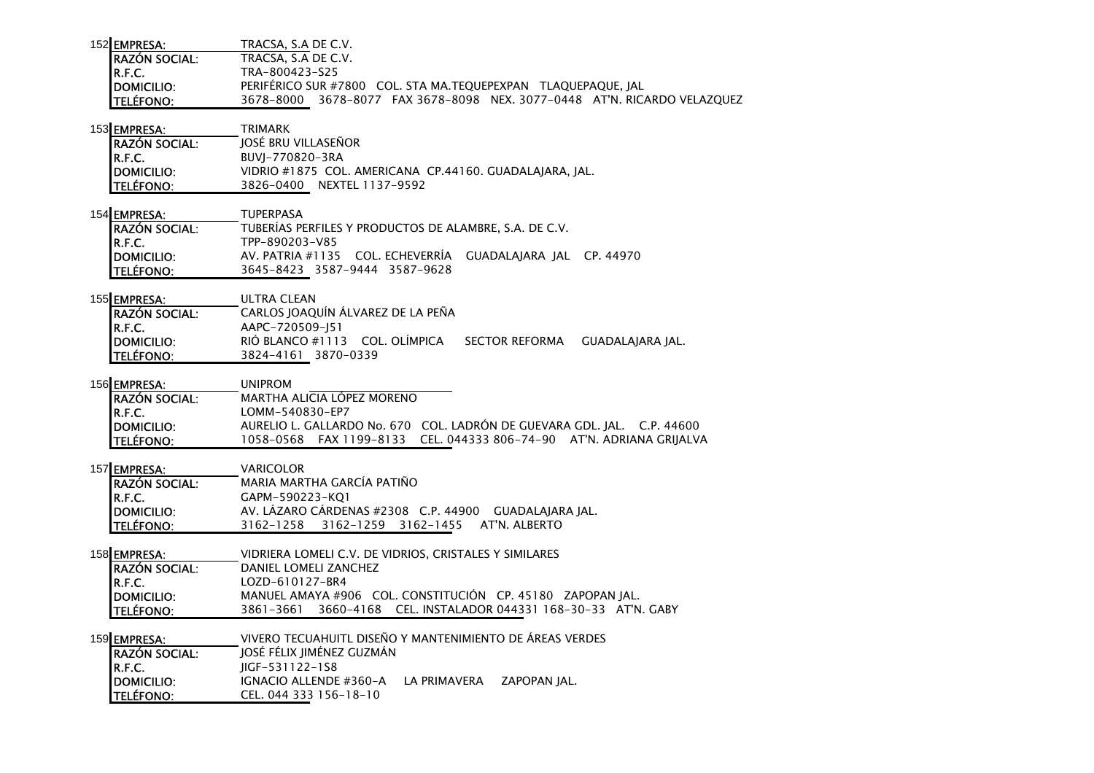| 152 EMPRESA:          | TRACSA, S.A DE C.V.                                                         |
|-----------------------|-----------------------------------------------------------------------------|
| <b>IRAZÓN SOCIAL:</b> | TRACSA. S.A DE C.V.                                                         |
| IR.F.C.               | TRA-800423-S25                                                              |
| <b>IDOMICILIO:</b>    | PERIFERICO SUR #7800 COL. STA MA.TEQUEPEXPAN TLAQUEPAQUE, JAL               |
| <b>TELÉFONO:</b>      | 3678–8077 FAX 3678–8098 NEX. 3077–0448 AT'N. RICARDO VELAZOUEZ<br>3678–8000 |

# 153 <u>EMPRESA: TRIMARK</u>

| <b>IRAZÓN SOCIAL:</b> | JOSÉ BRU VILLASEÑOR                                     |
|-----------------------|---------------------------------------------------------|
| IR.F.C.               | BUVI-770820-3RA                                         |
| <b>IDOMICILIO:</b>    | VIDRIO #1875 COL. AMERICANA CP.44160. GUADALAIARA. IAL. |
| <b>TELÉFONO:</b>      | 3826-0400 NEXTEL 1137-9592                              |

| 154 EMPRESA:         | <b>TUPFRPASA</b>                                           |
|----------------------|------------------------------------------------------------|
| <b>RAZÓN SOCIAL:</b> | TUBERÍAS PERFILES Y PRODUCTOS DE ALAMBRE, S.A. DE C.V.     |
| R.F.C.               | TPP-890203-V85                                             |
| <b>IDOMICILIO:</b>   | AV. PATRIA #1135 COL. ECHEVERRÍA GUADALAJARA JAL CP. 44970 |
| <b>TELÉFONO:</b>     | 3645-8423 3587-9444 3587-9628                              |

155 EMPRESA: ULTRA CLEAN CARLOS JOAQUÍN ÁLVAREZ DE LA PEÑARAZÓN SOCIAL:R.F.C. AAPC-720509-J51RIÓ BLANCO #1113 COL. OLÍMPICA SECTOR REFORMA GUADALAJARA JAL. TELÉFONO: 3824-4161 3870-0339

156 EMPRESA: UNIPROM

 MARTHA ALICIA LÓPEZ MORENORAZÓN SOCIAL:R.F.C. LOMM-540830-EP7 DOMICILIO: AURELIO L. GALLARDO No. 670 COL. LADRÓN DE GUEVARA GDL. JAL. C.P. 44600TELÉFONO: 1058-0568 FAX 1199-8133 CEL. 044333 806-74-90 AT'N. ADRIANA GRIJALVA

157 <u>EMPRESA: </u>VARICOLOR MARIA MARTHA GARCÍA PATIÑORAZÓN SOCIAL:R.F.C. GAPM-590223-KQ1 DOMICILIO: AV. LÁZARO CÁRDENAS #2308 C.P. 44900 GUADALAJARA JAL.TELÉFONO: 3162-1258 3162-1259 3162-1455 AT'N. ALBERTO

158 EMPRESA: VIDRIERA LOMELI C.V. DE VIDRIOS, CRISTALES Y SIMILARES RAZÓN SOCIAL: DANIEL LOMELI ZANCHEZR.F.C.**R.F.C.**<br>DOMICILIO: MANUEL AMAYA #9 DOMICILIO: MANUELAMAYA #906 COL. CONSTITUCIÓN CP. 45180 ZAPOPAN JAL. TELÉFONO: 3861-3661 3660-4168 CEL. INSTALADOR 044331 168-30-33 AT'N. GABY

159 EMPRESA: VIVERO TECUAHUITL DISEÑO Y MANTENIMIENTO DE ÁREAS VERDES

RAZÓN SOCIAL: JOSÉ FÉLIX JIMÉNEZ GUZMÁNR.F.C.**R.F.C.**<br>DOMICILIO: JIGF-531122-1S8 DOMICILIO: IGNACIO ALLENDE #360-A LA PRIMAVERA ZAPOPAN JAL. **TELÉFONO:** CEL. 044 333 156-18-10